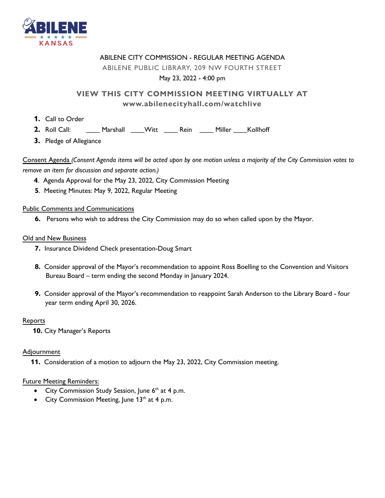

#### ABILENE CITY COMMISSION - REGULAR MEETING AGENDA

#### ABILENE PUBLIC LIBRARY, 209 NW FOURTH STREET

#### May 23, 2022 - 4:00 pm

### **VIEW THIS CITY COMMISSION MEETING VIRTUALLY AT www.abilenecityhall.com/watchlive**

- **1.** Call to Order
- **2.** Roll Call: \_\_\_\_ Marshall \_\_\_\_Witt \_\_\_\_ Rein \_\_\_\_ Miller \_\_\_\_Kollhoff
- **3.** Pledge of Allegiance

Consent Agenda *(Consent Agenda items will be acted upon by one motion unless a majority of the City Commission votes to remove an item for discussion and separate action.)*

- **4**. Agenda Approval for the May 23, 2022, City Commission Meeting
- **5**. Meeting Minutes: May 9, 2022, Regular Meeting

#### Public Comments and Communications

 **6.** Persons who wish to address the City Commission may do so when called upon by the Mayor.

#### Old and New Business

- **7.** Insurance Dividend Check presentation-Doug Smart
- **8.** Consider approval of the Mayor's recommendation to appoint Ross Boelling to the Convention and Visitors Bureau Board – term ending the second Monday in January 2024.
- **9.** Consider approval of the Mayor's recommendation to reappoint Sarah Anderson to the Library Board four year term ending April 30, 2026.

#### Reports

 **10.** City Manager's Reports

#### Adjournment

 **11.** Consideration of a motion to adjourn the May 23, 2022, City Commission meeting.

#### Future Meeting Reminders:

- City Commission Study Session, June  $6<sup>th</sup>$  at 4 p.m.
- City Commission Meeting, June 13<sup>th</sup> at 4 p.m.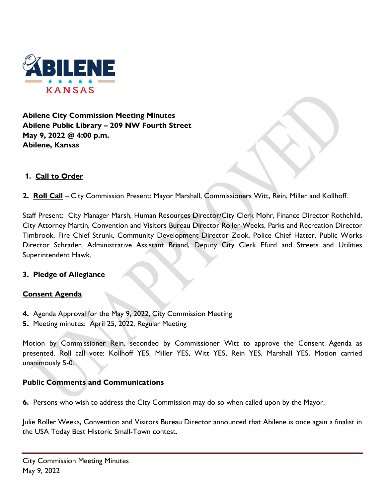

**Abilene City Commission Meeting Minutes Abilene Public Library – 209 NW Fourth Street May 9, 2022 @ 4:00 p.m. Abilene, Kansas**

#### **1. Call to Order**

**2. Roll Call** – City Commission Present: Mayor Marshall, Commissioners Witt, Rein, Miller and Kollhoff.

Staff Present: City Manager Marsh, Human Resources Director/City Clerk Mohr, Finance Director Rothchild, City Attorney Martin, Convention and Visitors Bureau Director Roller-Weeks, Parks and Recreation Director Timbrook, Fire Chief Strunk, Community Development Director Zook, Police Chief Hatter, Public Works Director Schrader, Administrative Assistant Briand, Deputy City Clerk Efurd and Streets and Utilities Superintendent Hawk.

#### **3. Pledge of Allegiance**

#### **Consent Agenda**

- **4.** Agenda Approval for the May 9, 2022, City Commission Meeting
- **5.** Meeting minutes: April 25, 2022, Regular Meeting

Motion by Commissioner Rein, seconded by Commissioner Witt to approve the Consent Agenda as presented. Roll call vote: Kollhoff YES, Miller YES, Witt YES, Rein YES, Marshall YES. Motion carried unanimously 5-0.

#### **Public Comments and Communications**

**6.** Persons who wish to address the City Commission may do so when called upon by the Mayor.

Julie Roller Weeks, Convention and Visitors Bureau Director announced that Abilene is once again a finalist in the USA Today Best Historic Small-Town contest.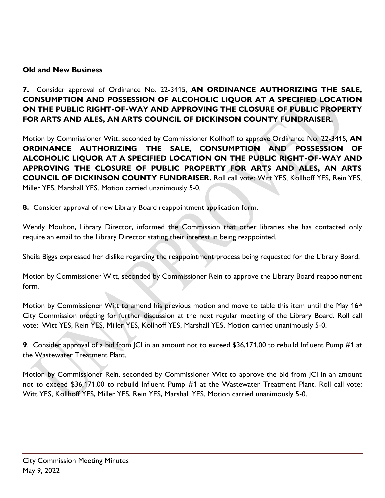### **Old and New Business**

**7.** Consider approval of Ordinance No. 22-3415, **AN ORDINANCE AUTHORIZING THE SALE, CONSUMPTION AND POSSESSION OF ALCOHOLIC LIQUOR AT A SPECIFIED LOCATION ON THE PUBLIC RIGHT-OF-WAY AND APPROVING THE CLOSURE OF PUBLIC PROPERTY FOR ARTS AND ALES, AN ARTS COUNCIL OF DICKINSON COUNTY FUNDRAISER.** 

Motion by Commissioner Witt, seconded by Commissioner Kollhoff to approve Ordinance No. 22-3415, **AN ORDINANCE AUTHORIZING THE SALE, CONSUMPTION AND POSSESSION OF ALCOHOLIC LIQUOR AT A SPECIFIED LOCATION ON THE PUBLIC RIGHT-OF-WAY AND APPROVING THE CLOSURE OF PUBLIC PROPERTY FOR ARTS AND ALES, AN ARTS COUNCIL OF DICKINSON COUNTY FUNDRAISER.** Roll call vote: Witt YES, Kollhoff YES, Rein YES, Miller YES, Marshall YES. Motion carried unanimously 5-0.

**8.** Consider approval of new Library Board reappointment application form.

Wendy Moulton, Library Director, informed the Commission that other libraries she has contacted only require an email to the Library Director stating their interest in being reappointed.

Sheila Biggs expressed her dislike regarding the reappointment process being requested for the Library Board.

Motion by Commissioner Witt, seconded by Commissioner Rein to approve the Library Board reappointment form.

Motion by Commissioner Witt to amend his previous motion and move to table this item until the May 16<sup>th</sup> City Commission meeting for further discussion at the next regular meeting of the Library Board. Roll call vote: Witt YES, Rein YES, Miller YES, Kollhoff YES, Marshall YES. Motion carried unanimously 5-0.

**9**. Consider approval of a bid from JCI in an amount not to exceed \$36,171.00 to rebuild Influent Pump #1 at the Wastewater Treatment Plant.

Motion by Commissioner Rein, seconded by Commissioner Witt to approve the bid from JCI in an amount not to exceed \$36,171.00 to rebuild Influent Pump #1 at the Wastewater Treatment Plant. Roll call vote: Witt YES, Kollhoff YES, Miller YES, Rein YES, Marshall YES. Motion carried unanimously 5-0.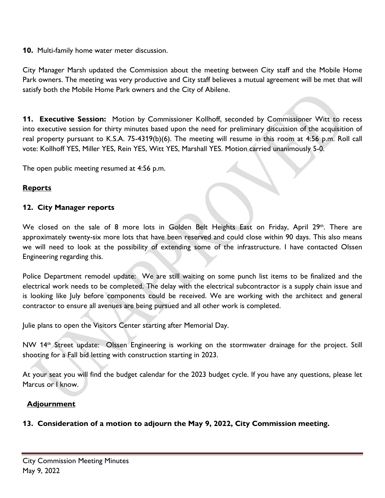#### **10.** Multi-family home water meter discussion.

City Manager Marsh updated the Commission about the meeting between City staff and the Mobile Home Park owners. The meeting was very productive and City staff believes a mutual agreement will be met that will satisfy both the Mobile Home Park owners and the City of Abilene.

**11. Executive Session:** Motion by Commissioner Kollhoff, seconded by Commissioner Witt to recess into executive session for thirty minutes based upon the need for preliminary discussion of the acquisition of real property pursuant to K.S.A. 75-4319(b)(6). The meeting will resume in this room at 4:56 p.m. Roll call vote: Kollhoff YES, Miller YES, Rein YES, Witt YES, Marshall YES. Motion carried unanimously 5-0.

The open public meeting resumed at 4:56 p.m.

### **Reports**

#### **12. City Manager reports**

We closed on the sale of 8 more lots in Golden Belt Heights East on Friday, April 29<sup>th</sup>. There are approximately twenty-six more lots that have been reserved and could close within 90 days. This also means we will need to look at the possibility of extending some of the infrastructure. I have contacted Olssen Engineering regarding this.

Police Department remodel update: We are still waiting on some punch list items to be finalized and the electrical work needs to be completed. The delay with the electrical subcontractor is a supply chain issue and is looking like July before components could be received. We are working with the architect and general contractor to ensure all avenues are being pursued and all other work is completed.

Julie plans to open the Visitors Center starting after Memorial Day.

NW 14<sup>th</sup> Street update: Olssen Engineering is working on the stormwater drainage for the project. Still shooting for a Fall bid letting with construction starting in 2023.

At your seat you will find the budget calendar for the 2023 budget cycle. If you have any questions, please let Marcus or I know.

#### **Adjournment**

**13. Consideration of a motion to adjourn the May 9, 2022, City Commission meeting.**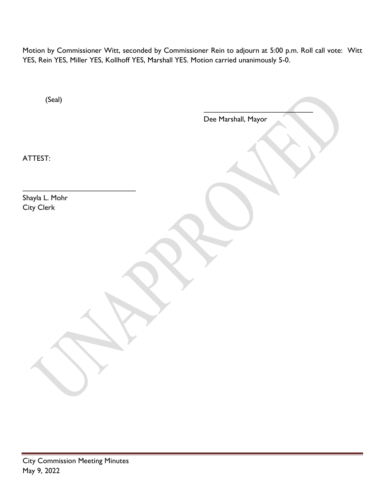Motion by Commissioner Witt, seconded by Commissioner Rein to adjourn at 5:00 p.m. Roll call vote: Witt YES, Rein YES, Miller YES, Kollhoff YES, Marshall YES. Motion carried unanimously 5-0.

| (Seal)                       |                     |
|------------------------------|---------------------|
|                              | Dee Marshall, Mayor |
| ATTEST:                      |                     |
| Shayla L. Mohr<br>City Clerk |                     |
|                              |                     |
|                              |                     |
|                              |                     |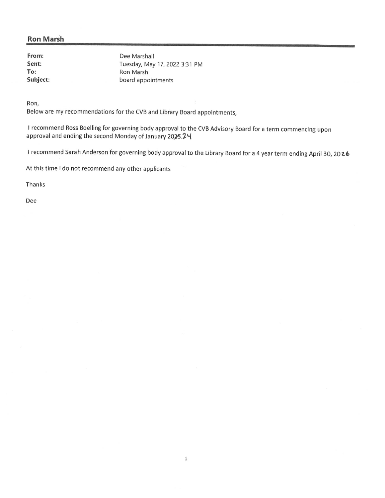#### **Ron Marsh**

From: Sent: To: Subject:

Dee Marshall Tuesday, May 17, 2022 3:31 PM Ron Marsh board appointments

Ron,

Below are my recommendations for the CVB and Library Board appointments,

I recommend Ross Boelling for governing body approval to the CVB Advisory Board for a term commencing upon approval and ending the second Monday of January 2025.24

I recommend Sarah Anderson for governing body approval to the Library Board for a 4 year term ending April 30, 2026

 $\,1\,$ 

At this time I do not recommend any other applicants

Thanks

Dee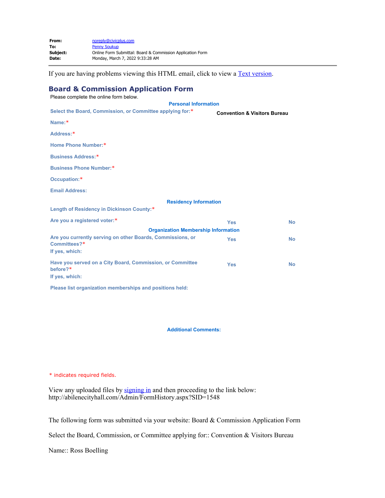| From:    | noreply@civicplus.com                                      |
|----------|------------------------------------------------------------|
| To:      | <b>Penny Soukup</b>                                        |
| Subiect: | Online Form Submittal: Board & Commission Application Form |
| Date:    | Monday, March 7, 2022 9:33:28 AM                           |
|          |                                                            |

If you are having problems viewing this HTML email, click to view a **Text version**.

#### **Board & Commission Application Form**

| Please complete the online form below.                                                       |                                         |           |
|----------------------------------------------------------------------------------------------|-----------------------------------------|-----------|
| <b>Personal Information</b>                                                                  |                                         |           |
| Select the Board, Commission, or Committee applying for:*                                    | <b>Convention &amp; Visitors Bureau</b> |           |
| Name:*                                                                                       |                                         |           |
| Address:*                                                                                    |                                         |           |
| Home Phone Number:*                                                                          |                                         |           |
| Business Address:*                                                                           |                                         |           |
| Business Phone Number:*                                                                      |                                         |           |
| Occupation:*                                                                                 |                                         |           |
| <b>Email Address:</b>                                                                        |                                         |           |
| <b>Residency Information</b>                                                                 |                                         |           |
| Length of Residency in Dickinson County:*                                                    |                                         |           |
| Are you a registered voter:*                                                                 | <b>Yes</b>                              | <b>No</b> |
| <b>Organization Membership Information</b>                                                   |                                         |           |
| Are you currently serving on other Boards, Commissions, or<br>Committees?*<br>If yes, which: | <b>Yes</b>                              | <b>No</b> |
| Have you served on a City Board, Commission, or Committee<br>before?*<br>If yes, which:      | <b>Yes</b>                              | <b>No</b> |
|                                                                                              |                                         |           |

**Please list organization memberships and positions held:**

#### **Additional Comments:**

\* indicates required fields.

View any uploaded files by [signing in](file:////c/abilenecityhall.com/MyAccount) and then proceeding to the link below: http://abilenecityhall.com/Admin/FormHistory.aspx?SID=1548

The following form was submitted via your website: Board & Commission Application Form

<span id="page-6-0"></span>Select the Board, Commission, or Committee applying for:: Convention & Visitors Bureau

Name:: Ross Boelling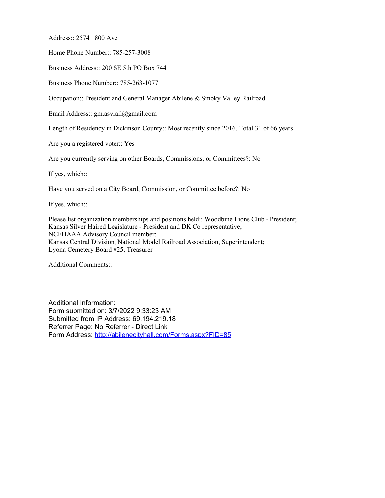Address:: 2574 1800 Ave

Home Phone Number:: 785-257-3008

Business Address:: 200 SE 5th PO Box 744

Business Phone Number:: 785-263-1077

Occupation:: President and General Manager Abilene & Smoky Valley Railroad

Email Address:: gm.asvrail@gmail.com

Length of Residency in Dickinson County:: Most recently since 2016. Total 31 of 66 years

Are you a registered voter:: Yes

Are you currently serving on other Boards, Commissions, or Committees?: No

If yes, which::

Have you served on a City Board, Commission, or Committee before?: No

If yes, which::

Please list organization memberships and positions held:: Woodbine Lions Club - President; Kansas Silver Haired Legislature - President and DK Co representative; NCFHAAA Advisory Council member; Kansas Central Division, National Model Railroad Association, Superintendent; Lyona Cemetery Board #25, Treasurer

Additional Comments::

Additional Information: Form submitted on: 3/7/2022 9:33:23 AM Submitted from IP Address: 69.194.219.18 Referrer Page: No Referrer - Direct Link Form Address:<http://abilenecityhall.com/Forms.aspx?FID=85>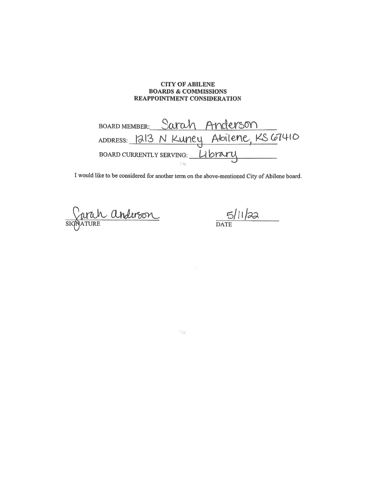#### **CITY OF ABILENE BOARDS & COMMISSIONS** REAPPOINTMENT CONSIDERATION

Sarah Anderson **BOARD MEMBER:** ADDRESS: 1213 N Kuney Abilene, KS 67410 BOARD CURRENTLY SERVING: Library

I would like to be considered for another term on the above-mentioned City of Abilene board.

 $\mathbb{C}^{\mathbb{Z}}$ 

Jurah anderson  $\overline{\text{SIC}}$ 

 $5/11/22$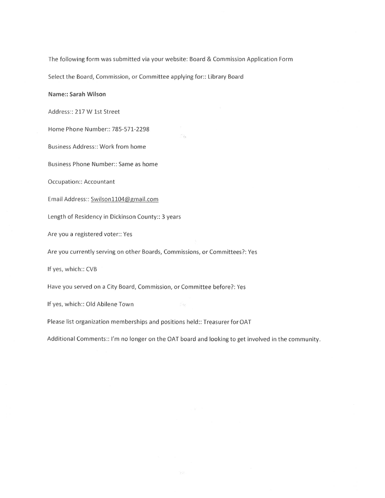The following form was submitted via your website: Board & Commission Application Form

 $\mathcal{C}_{\mathcal{C}}$ 

Select the Board, Commission, or Committee applying for:: Library Board

#### Name:: Sarah Wilson

Address:: 217 W 1st Street

Home Phone Number:: 785-571-2298

Business Address:: Work from home

Business Phone Number:: Same as home

**Occupation:: Accountant** 

Email Address:: Swilson1104@gmail.com

Length of Residency in Dickinson County:: 3 years

Are you a registered voter:: Yes

Are you currently serving on other Boards, Commissions, or Committees?: Yes

If yes, which:: CVB

Have you served on a City Board, Commission, or Committee before?: Yes

If yes, which:: Old Abilene Town

Please list organization memberships and positions held:: Treasurer for OAT

Additional Comments:: I'm no longer on the OAT board and looking to get involved in the community.

 $\frac{3}{16}$   $\frac{\Delta_1}{\Delta_1}$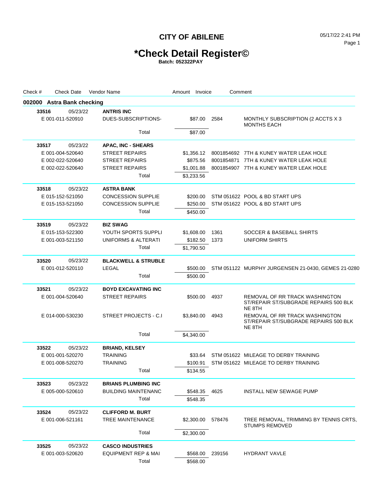## **\*Check Detail Register©**

| Check # |       | <b>Check Date</b>          | Vendor Name           |                                | Amount | Invoice    | Comment |                                                                                   |
|---------|-------|----------------------------|-----------------------|--------------------------------|--------|------------|---------|-----------------------------------------------------------------------------------|
|         |       | 002000 Astra Bank checking |                       |                                |        |            |         |                                                                                   |
|         | 33516 | 05/23/22                   | <b>ANTRIS INC</b>     |                                |        |            |         |                                                                                   |
|         |       | E 001-011-520910           |                       | DUES-SUBSCRIPTIONS-            |        | \$87.00    | 2584    | MONTHLY SUBSCRIPTION (2 ACCTS X 3<br><b>MONTHS EACH</b>                           |
|         |       |                            |                       | Total                          |        | \$87.00    |         |                                                                                   |
|         | 33517 | 05/23/22                   |                       | <b>APAC, INC - SHEARS</b>      |        |            |         |                                                                                   |
|         |       | E 001-004-520640           |                       | <b>STREET REPAIRS</b>          |        | \$1,356.12 |         | 8001854692 7TH & KUNEY WATER LEAK HOLE                                            |
|         |       | E 002-022-520640           |                       | <b>STREET REPAIRS</b>          |        | \$875.56   |         | 8001854871 7TH & KUNEY WATER LEAK HOLE                                            |
|         |       | E 002-022-520640           |                       | <b>STREET REPAIRS</b>          |        | \$1,001.88 |         | 8001854907 7TH & KUNEY WATER LEAK HOLE                                            |
|         |       |                            |                       | Total                          |        | \$3,233.56 |         |                                                                                   |
|         | 33518 | 05/23/22                   | <b>ASTRA BANK</b>     |                                |        |            |         |                                                                                   |
|         |       | E 015-152-521050           |                       | <b>CONCESSION SUPPLIE</b>      |        | \$200.00   |         | STM 051622 POOL & BD START UPS                                                    |
|         |       | E 015-153-521050           |                       | <b>CONCESSION SUPPLIE</b>      |        | \$250.00   |         | STM 051622 POOL & BD START UPS                                                    |
|         |       |                            |                       | Total                          |        | \$450.00   |         |                                                                                   |
|         | 33519 | 05/23/22                   | <b>BIZ SWAG</b>       |                                |        |            |         |                                                                                   |
|         |       | E 015-153-522300           |                       | YOUTH SPORTS SUPPLI            |        | \$1,608.00 | 1361    | <b>SOCCER &amp; BASEBALL SHIRTS</b>                                               |
|         |       | E 001-003-521150           |                       | UNIFORMS & ALTERATI            |        | \$182.50   | 1373    | UNIFORM SHIRTS                                                                    |
|         |       |                            |                       | Total                          |        | \$1,790.50 |         |                                                                                   |
|         | 33520 | 05/23/22                   |                       | <b>BLACKWELL &amp; STRUBLE</b> |        |            |         |                                                                                   |
|         |       | E 001-012-520110           | LEGAL                 |                                |        | \$500.00   |         | STM 051122 MURPHY JURGENSEN 21-0430, GEMES 21-0280                                |
|         |       |                            |                       | Total                          |        | \$500.00   |         |                                                                                   |
| 33521   |       | 05/23/22                   |                       | <b>BOYD EXCAVATING INC</b>     |        |            |         |                                                                                   |
|         |       | E 001-004-520640           |                       | <b>STREET REPAIRS</b>          |        | \$500.00   | 4937    | REMOVAL OF RR TRACK WASHINGTON                                                    |
|         |       |                            |                       |                                |        |            |         | ST/REPAIR ST/SUBGRADE REPAIRS 500 BLK<br>NE 8TH                                   |
|         |       | E 014-000-530230           |                       | STREET PROJECTS - C.I          |        | \$3,840.00 | 4943    | REMOVAL OF RR TRACK WASHINGTON<br>ST/REPAIR ST/SUBGRADE REPAIRS 500 BLK<br>NE 8TH |
|         |       |                            |                       | Total                          |        | \$4,340.00 |         |                                                                                   |
|         | 33522 | 05/23/22                   | <b>BRIAND, KELSEY</b> |                                |        |            |         |                                                                                   |
|         |       | E 001-001-520270           | <b>TRAINING</b>       |                                |        | \$33.64    |         | STM 051622 MILEAGE TO DERBY TRAINING                                              |
|         |       | E 001-008-520270           | <b>TRAINING</b>       |                                |        | \$100.91   |         | STM 051622 MILEAGE TO DERBY TRAINING                                              |
|         |       |                            |                       | Total                          |        | \$134.55   |         |                                                                                   |
|         | 33523 | 05/23/22                   |                       | <b>BRIANS PLUMBING INC</b>     |        |            |         |                                                                                   |
|         |       | E 005-000-520610           |                       | <b>BUILDING MAINTENANC</b>     |        | \$548.35   | 4625    | INSTALL NEW SEWAGE PUMP                                                           |
|         |       |                            |                       | Total                          |        | \$548.35   |         |                                                                                   |
|         | 33524 | 05/23/22                   |                       | <b>CLIFFORD M. BURT</b>        |        |            |         |                                                                                   |
|         |       | E 001-006-521161           |                       | TREE MAINTENANCE               |        | \$2,300.00 | 578476  | TREE REMOVAL, TRIMMING BY TENNIS CRTS,<br><b>STUMPS REMOVED</b>                   |
|         |       |                            |                       | Total                          |        | \$2,300.00 |         |                                                                                   |
|         | 33525 | 05/23/22                   |                       | <b>CASCO INDUSTRIES</b>        |        |            |         |                                                                                   |
|         |       | E 001-003-520620           |                       | EQUIPMENT REP & MAI            |        | \$568.00   | 239156  | <b>HYDRANT VAVLE</b>                                                              |
|         |       |                            |                       | Total                          |        | \$568.00   |         |                                                                                   |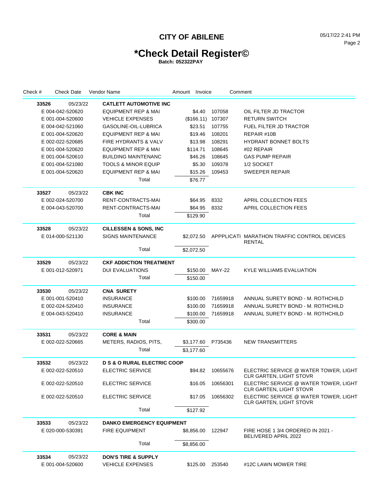## **\*Check Detail Register©**

| Check # | <b>Check Date</b> | Vendor Name                            | Amount Invoice     |               | Comment                                                                 |  |
|---------|-------------------|----------------------------------------|--------------------|---------------|-------------------------------------------------------------------------|--|
| 33526   | 05/23/22          | <b>CATLETT AUTOMOTIVE INC</b>          |                    |               |                                                                         |  |
|         | E 004-042-520620  | <b>EQUIPMENT REP &amp; MAI</b>         | \$4.40             | 107058        | OIL FILTER JD TRACTOR                                                   |  |
|         | E 001-004-520600  | <b>VEHICLE EXPENSES</b>                | (\$166.11) 107307  |               | <b>RETURN SWITCH</b>                                                    |  |
|         | E 004-042-521060  | GASOLINE-OIL-LUBRICA                   | \$23.51            | 107755        | <b>FUEL FILTER JD TRACTOR</b>                                           |  |
|         | E 001-004-520620  | <b>EQUIPMENT REP &amp; MAI</b>         | \$19.46            | 108201        | REPAIR #10B                                                             |  |
|         | E 002-022-520685  | <b>FIRE HYDRANTS &amp; VALV</b>        | \$13.98            | 108291        | <b>HYDRANT BONNET BOLTS</b>                                             |  |
|         | E 001-004-520620  | <b>EQUIPMENT REP &amp; MAI</b>         | \$114.71           | 108645        | #02 REPAIR                                                              |  |
|         | E 001-004-520610  | <b>BUILDING MAINTENANC</b>             | \$46.26            | 108645        | <b>GAS PUMP REPAIR</b>                                                  |  |
|         | E 001-004-521080  | <b>TOOLS &amp; MINOR EQUIP</b>         | \$5.30             | 109378        | 1/2 SOCKET                                                              |  |
|         | E 001-004-520620  | <b>EQUIPMENT REP &amp; MAI</b>         | \$15.26            | 109453        | <b>SWEEPER REPAIR</b>                                                   |  |
|         |                   | Total                                  | \$76.77            |               |                                                                         |  |
| 33527   | 05/23/22          | <b>CBK INC</b>                         |                    |               |                                                                         |  |
|         | E 002-024-520700  | RENT-CONTRACTS-MAI                     | \$64.95            | 8332          | APRIL COLLECTION FEES                                                   |  |
|         | E 004-043-520700  | RENT-CONTRACTS-MAI                     | \$64.95            | 8332          | APRIL COLLECTION FEES                                                   |  |
|         |                   | Total                                  | \$129.90           |               |                                                                         |  |
| 33528   | 05/23/22          | <b>CILLESSEN &amp; SONS, INC</b>       |                    |               |                                                                         |  |
|         | E 014-000-521130  | <b>SIGNS MAINTENANCE</b>               | \$2.072.50         |               | APPPLICATI MARATHON TRAFFIC CONTROL DEVICES<br><b>RENTAL</b>            |  |
|         |                   | Total                                  | \$2,072.50         |               |                                                                         |  |
| 33529   | 05/23/22          | <b>CKF ADDICTION TREATMENT</b>         |                    |               |                                                                         |  |
|         | E 001-012-520971  | <b>DUI EVALUATIONS</b>                 | \$150.00           | <b>MAY-22</b> | <b>KYLE WILLIAMS EVALUATION</b>                                         |  |
|         |                   | Total                                  | \$150.00           |               |                                                                         |  |
| 33530   | 05/23/22          | <b>CNA SURETY</b>                      |                    |               |                                                                         |  |
|         | E 001-001-520410  | INSURANCE                              | \$100.00           | 71659918      | ANNUAL SURETY BOND - M. ROTHCHILD                                       |  |
|         | E 002-024-520410  | <b>INSURANCE</b>                       | \$100.00           | 71659918      | ANNUAL SURETY BOND - M. ROTHCHILD                                       |  |
|         | E 004-043-520410  | <b>INSURANCE</b>                       | \$100.00           | 71659918      | ANNUAL SURETY BOND - M. ROTHCHILD                                       |  |
|         |                   | Total                                  | \$300.00           |               |                                                                         |  |
| 33531   | 05/23/22          | <b>CORE &amp; MAIN</b>                 |                    |               |                                                                         |  |
|         | E 002-022-520665  | METERS, RADIOS, PITS,                  | \$3,177.60 P735436 |               | <b>NEW TRANSMITTERS</b>                                                 |  |
|         |                   | Total                                  | \$3,177.60         |               |                                                                         |  |
| 33532   | 05/23/22          | <b>D S &amp; O RURAL ELECTRIC COOP</b> |                    |               |                                                                         |  |
|         | E 002-022-520510  | ELECTRIC SERVICE                       | \$94.82            | 10655676      | ELECTRIC SERVICE @ WATER TOWER, LIGHT<br><b>CLR GARTEN, LIGHT STOVR</b> |  |
|         | E 002-022-520510  | ELECTRIC SERVICE                       | \$16.05            | 10656301      | ELECTRIC SERVICE @ WATER TOWER, LIGHT<br><b>CLR GARTEN, LIGHT STOVR</b> |  |
|         | E 002-022-520510  | ELECTRIC SERVICE                       | \$17.05            | 10656302      | ELECTRIC SERVICE @ WATER TOWER, LIGHT<br><b>CLR GARTEN, LIGHT STOVR</b> |  |
|         |                   | Total                                  | \$127.92           |               |                                                                         |  |
| 33533   | 05/23/22          | <b>DANKO EMERGENCY EQUIPMENT</b>       |                    |               |                                                                         |  |
|         | E 020-000-530391  | <b>FIRE EQUIPMENT</b>                  | \$8,856.00         | 122947        | FIRE HOSE 1 3/4 ORDERED IN 2021 -<br><b>BELIVERED APRIL 2022</b>        |  |
|         |                   | Total                                  | \$8,856.00         |               |                                                                         |  |
| 33534   | 05/23/22          | <b>DON'S TIRE &amp; SUPPLY</b>         |                    |               |                                                                         |  |
|         | E 001-004-520600  | <b>VEHICLE EXPENSES</b>                | \$125.00           | 253540        | #12C LAWN MOWER TIRE                                                    |  |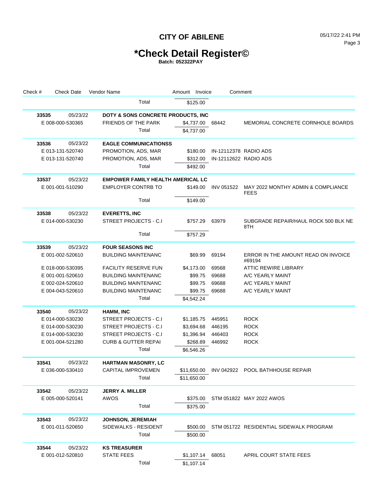# **\*Check Detail Register©**

| Check # | <b>Check Date</b> | Vendor Name                              | Amount Invoice | Comment               |                                                   |
|---------|-------------------|------------------------------------------|----------------|-----------------------|---------------------------------------------------|
|         |                   | Total                                    | \$125.00       |                       |                                                   |
| 33535   | 05/23/22          | DOTY & SONS CONCRETE PRODUCTS, INC       |                |                       |                                                   |
|         | E 008-000-530365  | <b>FRIENDS OF THE PARK</b>               | \$4,737.00     | 68442                 | MEMORIAL CONCRETE CORNHOLE BOARDS                 |
|         |                   | Total                                    | \$4,737.00     |                       |                                                   |
| 33536   | 05/23/22          | <b>EAGLE COMMUNICATIONSS</b>             |                |                       |                                                   |
|         | E 013-131-520740  | PROMOTION, ADS, MAR                      | \$180.00       | IN-12112378 RADIO ADS |                                                   |
|         | E 013-131-520740  | PROMOTION, ADS, MAR                      | \$312.00       | IN-12112622 RADIO ADS |                                                   |
|         |                   | Total                                    | \$492.00       |                       |                                                   |
| 33537   | 05/23/22          | <b>EMPOWER FAMILY HEALTH AMERICAL LC</b> |                |                       |                                                   |
|         | E 001-001-510290  | <b>EMPLOYER CONTRB TO</b>                | \$149.00       | INV 051522            | MAY 2022 MONTHY ADMIN & COMPLIANCE<br><b>FEES</b> |
|         |                   | Total                                    | \$149.00       |                       |                                                   |
| 33538   | 05/23/22          | <b>EVERETTS, INC</b>                     |                |                       |                                                   |
|         | E 014-000-530230  | <b>STREET PROJECTS - C.I</b>             | \$757.29       | 63979                 | SUBGRADE REPAIR/HAUL ROCK 500 BLK NE<br>8TH       |
|         |                   | Total                                    | \$757.29       |                       |                                                   |
| 33539   | 05/23/22          | <b>FOUR SEASONS INC</b>                  |                |                       |                                                   |
|         | E 001-002-520610  | <b>BUILDING MAINTENANC</b>               | \$69.99        | 69194                 | ERROR IN THE AMOUNT READ ON INVOICE<br>#69194     |
|         | E 018-000-530395  | <b>FACILITY RESERVE FUN</b>              | \$4,173.00     | 69568                 | ATTIC REWIRE LIBRARY                              |
|         | E 001-001-520610  | <b>BUILDING MAINTENANC</b>               | \$99.75        | 69688                 | A/C YEARLY MAINT                                  |
|         | E 002-024-520610  | <b>BUILDING MAINTENANC</b>               | \$99.75        | 69688                 | A/C YEARLY MAINT                                  |
|         | E 004-043-520610  | <b>BUILDING MAINTENANC</b>               | \$99.75        | 69688                 | A/C YEARLY MAINT                                  |
|         |                   | Total                                    | \$4,542.24     |                       |                                                   |
| 33540   | 05/23/22          | HAMM, INC                                |                |                       |                                                   |
|         | E 014-000-530230  | STREET PROJECTS - C.I                    | \$1,185.75     | 445951                | <b>ROCK</b>                                       |
|         | E 014-000-530230  | STREET PROJECTS - C.I                    | \$3,694.68     | 446195                | <b>ROCK</b>                                       |
|         | E 014-000-530230  | STREET PROJECTS - C.I                    | \$1,396.94     | 446403                | <b>ROCK</b>                                       |
|         | E 001-004-521280  | <b>CURB &amp; GUTTER REPAI</b>           | \$268.89       | 446992                | <b>ROCK</b>                                       |
|         |                   | Total                                    | \$6,546.26     |                       |                                                   |
| 33541   | 05/23/22          | <b>HARTMAN MASONRY, LC</b>               |                |                       |                                                   |
|         | E 036-000-530410  | CAPITAL IMPROVEMEN                       |                |                       | \$11,650.00 INV 042922 POOL BATHHOUSE REPAIR      |
|         |                   | Total                                    | \$11,650.00    |                       |                                                   |
| 33542   | 05/23/22          | <b>JERRY A. MILLER</b>                   |                |                       |                                                   |
|         | E 005-000-520141  | AWOS                                     |                |                       | \$375.00 STM 051822 MAY 2022 AWOS                 |
|         |                   | Total                                    | \$375.00       |                       |                                                   |
| 33543   | 05/23/22          | <b>JOHNSON, JEREMIAH</b>                 |                |                       |                                                   |
|         | E 001-011-520650  | SIDEWALKS - RESIDENT                     | \$500.00       |                       | STM 051722 RESIDENTIAL SIDEWALK PROGRAM           |
|         |                   | Total                                    | \$500.00       |                       |                                                   |
| 33544   | 05/23/22          | <b>KS TREASURER</b>                      |                |                       |                                                   |
|         | E 001-012-520810  | <b>STATE FEES</b>                        | \$1,107.14     | 68051                 | APRIL COURT STATE FEES                            |
|         |                   | Total                                    | \$1,107.14     |                       |                                                   |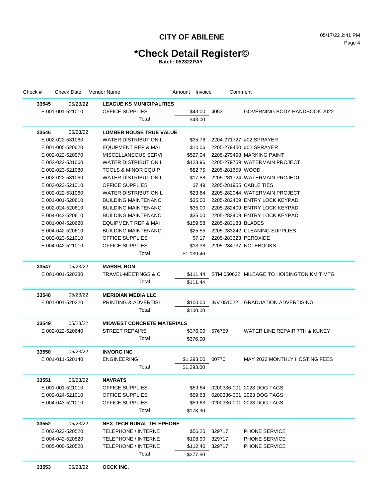# **\*Check Detail Register©**

| Check # | <b>Check Date</b> | Vendor Name                       | Amount Invoice |            | Comment              |                                           |
|---------|-------------------|-----------------------------------|----------------|------------|----------------------|-------------------------------------------|
| 33545   | 05/23/22          | <b>LEAGUE KS MUNICIPALITIES</b>   |                |            |                      |                                           |
|         | E 001-001-521010  | OFFICE SUPPLIES                   |                | \$43.00    | 4053                 | GOVERNING BODY HANDBOOK 2022              |
|         |                   | Total                             |                | \$43.00    |                      |                                           |
|         |                   |                                   |                |            |                      |                                           |
| 33546   | 05/23/22          | <b>LUMBER HOUSE TRUE VALUE</b>    |                |            |                      |                                           |
|         | E 002-022-531060  | WATER DISTRIBUTION L              |                | \$35.76    |                      | 2204-271727 #02 SPRAYER                   |
|         | E 001-005-520620  | <b>EQUIPMENT REP &amp; MAI</b>    |                | \$10.06    |                      | 2205-279450 #02 SPRAYER                   |
|         | E 002-022-520970  | MISCELLANEOUS SERVI               |                | \$527.04   |                      | 2205-279498 MARKING PAINT                 |
|         | E 002-022-531060  | <b>WATER DISTRIBUTION L</b>       |                | \$123.96   |                      | 2205-279759 WATERMAIN PROJECT             |
|         | E 002-023-521080  | <b>TOOLS &amp; MINOR EQUIP</b>    |                | \$82.75    | 2205-281659 WOOD     |                                           |
|         | E 002-022-531060  | WATER DISTRIBUTION L              |                | \$17.88    |                      | 2205-281724 WATERMAIN PROJECT             |
|         | E 002-023-521010  | <b>OFFICE SUPPLIES</b>            |                | \$7.49     |                      | 2205-281955 CABLE TIES                    |
|         | E 002-022-531060  | <b>WATER DISTRIBUTION L</b>       |                | \$23.84    |                      | 2205-282044 WATERMAIN PROJECT             |
|         | E 001-001-520610  | <b>BUILDING MAINTENANC</b>        |                | \$35.00    |                      | 2205-282409 ENTRY LOCK KEYPAD             |
|         | E 002-024-520610  | <b>BUILDING MAINTENANC</b>        |                | \$35.00    |                      | 2205-282409 ENTRY LOCK KEYPAD             |
|         | E 004-043-520610  | <b>BUILDING MAINTENANC</b>        |                | \$35.00    |                      | 2205-282409 ENTRY LOCK KEYPAD             |
|         | E 001-004-520620  | <b>EQUIPMENT REP &amp; MAI</b>    |                | \$159.58   | 2205-283183 BLADES   |                                           |
|         | E 004-042-520610  | <b>BUILDING MAINTENANC</b>        |                | \$25.55    |                      | 2205-283242 CLEANING SUPPLIES             |
|         | E 002-023-521010  | <b>OFFICE SUPPLIES</b>            |                | \$7.17     | 2205-283323 PEROXIDE |                                           |
|         | E 004-042-521010  | <b>OFFICE SUPPLIES</b>            |                | \$13.38    |                      | 2205-284737 NOTEBOOKS                     |
|         |                   | Total                             | \$1,139.46     |            |                      |                                           |
| 33547   | 05/23/22          | <b>MARSH, RON</b>                 |                |            |                      |                                           |
|         | E 001-001-520280  | TRAVEL-MEETINGS & C               |                | \$111.44   |                      | STM 050622 MILEAGE TO HOISINGTON KMIT MTG |
|         |                   | Total                             |                | \$111.44   |                      |                                           |
| 33548   | 05/23/22          | <b>MERIDIAN MEDIA LLC</b>         |                |            |                      |                                           |
|         | E 001-001-520320  | <b>PRINTING &amp; ADVERTISI</b>   |                | \$100.00   |                      | INV 051022 GRADUATION ADVERTISING         |
|         |                   | Total                             |                | \$100.00   |                      |                                           |
| 33549   | 05/23/22          | <b>MIDWEST CONCRETE MATERIALS</b> |                |            |                      |                                           |
|         | E 002-022-520640  | <b>STREET REPAIRS</b>             |                | \$376.00   | 576759               | WATER LINE REPAIR 7TH & KUNEY             |
|         |                   | Total                             |                | \$376.00   |                      |                                           |
|         |                   |                                   |                |            |                      |                                           |
| 33550   | 05/23/22          | <b>INVORG INC</b>                 |                |            |                      |                                           |
|         | E 001-011-520140  | <b>ENGINEERING</b>                |                | \$1,293.00 | 00770                | MAY 2022 MONTHLY HOSTING FEES             |
|         |                   | Total                             | \$1,293.00     |            |                      |                                           |
| 33551   | 05/23/22          | <b>NAVRATS</b>                    |                |            |                      |                                           |
|         | E 001-001-521010  | <b>OFFICE SUPPLIES</b>            |                | \$59.64    |                      | 0200336-001 2023 DOG TAGS                 |
|         | E 002-024-521010  | OFFICE SUPPLIES                   |                | \$59.63    |                      | 0200336-001 2023 DOG TAGS                 |
|         | E 004-043-521010  | OFFICE SUPPLIES                   |                | \$59.63    |                      | 0200336-001 2023 DOG TAGS                 |
|         |                   | Total                             |                | \$178.90   |                      |                                           |
| 33552   | 05/23/22          | <b>NEX-TECH RURAL TELEPHONE</b>   |                |            |                      |                                           |
|         | E 002-023-520520  | TELEPHONE / INTERNE               |                | \$56.20    | 329717               | <b>PHONE SERVICE</b>                      |
|         | E 004-042-520520  | <b>TELEPHONE / INTERNE</b>        |                | \$108.90   | 329717               | <b>PHONE SERVICE</b>                      |
|         | E 005-000-520520  | TELEPHONE / INTERNE               |                | \$112.40   | 329717               | <b>PHONE SERVICE</b>                      |
|         |                   | Total                             |                | \$277.50   |                      |                                           |
| 33553   | 05/23/22          | OCCK INC.                         |                |            |                      |                                           |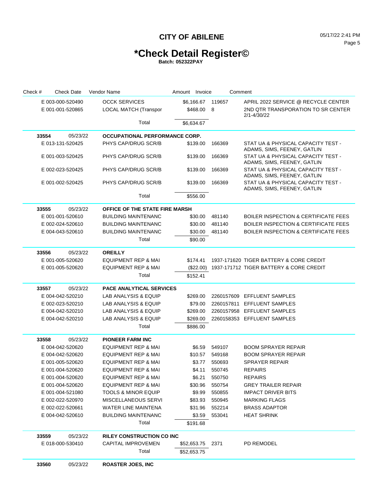# **\*Check Detail Register©**

| Check # | <b>Check Date</b> | Vendor Name                           | Amount Invoice   |            |                   | Comment                                                           |  |
|---------|-------------------|---------------------------------------|------------------|------------|-------------------|-------------------------------------------------------------------|--|
|         | E 003-000-520490  | <b>OCCK SERVICES</b>                  |                  |            | \$6,166.67 119657 | APRIL 2022 SERVICE @ RECYCLE CENTER                               |  |
|         | E 001-001-520865  | <b>LOCAL MATCH (Transpor</b>          |                  | \$468.00 8 |                   | 2ND QTR TRANSPORATION TO SR CENTER                                |  |
|         |                   |                                       |                  |            |                   | 2/1-4/30/22                                                       |  |
|         |                   | Total                                 | \$6,634.67       |            |                   |                                                                   |  |
| 33554   | 05/23/22          | <b>OCCUPATIONAL PERFORMANCE CORP.</b> |                  |            |                   |                                                                   |  |
|         | E 013-131-520425  | PHYS CAP/DRUG SCR/B                   | \$139.00         |            | 166369            | STAT UA & PHYSICAL CAPACITY TEST -<br>ADAMS, SIMS, FEENEY, GATLIN |  |
|         | E 001-003-520425  | PHYS CAP/DRUG SCR/B                   | \$139.00         |            | 166369            | STAT UA & PHYSICAL CAPACITY TEST -<br>ADAMS, SIMS, FEENEY, GATLIN |  |
|         | E 002-023-520425  | PHYS CAP/DRUG SCR/B                   | \$139.00         |            | 166369            | STAT UA & PHYSICAL CAPACITY TEST -<br>ADAMS, SIMS, FEENEY, GATLIN |  |
|         | E 001-002-520425  | PHYS CAP/DRUG SCR/B                   | \$139.00         |            | 166369            | STAT UA & PHYSICAL CAPACITY TEST -<br>ADAMS, SIMS, FEENEY, GATLIN |  |
|         |                   | Total                                 | \$556.00         |            |                   |                                                                   |  |
| 33555   | 05/23/22          | OFFICE OF THE STATE FIRE MARSH        |                  |            |                   |                                                                   |  |
|         | E 001-001-520610  | <b>BUILDING MAINTENANC</b>            |                  | \$30.00    | 481140            | <b>BOILER INSPECTION &amp; CERTIFICATE FEES</b>                   |  |
|         | E 002-024-520610  | <b>BUILDING MAINTENANC</b>            |                  | \$30.00    | 481140            | <b>BOILER INSPECTION &amp; CERTIFICATE FEES</b>                   |  |
|         | E 004-043-520610  | <b>BUILDING MAINTENANC</b>            |                  | \$30.00    | 481140            | <b>BOILER INSPECTION &amp; CERTIFICATE FEES</b>                   |  |
|         |                   | Total                                 |                  | \$90.00    |                   |                                                                   |  |
| 33556   | 05/23/22          | <b>OREILLY</b>                        |                  |            |                   |                                                                   |  |
|         | E 001-005-520620  | <b>EQUIPMENT REP &amp; MAI</b>        | \$174.41         |            |                   | 1937-171620 TIGER BATTERY & CORE CREDIT                           |  |
|         | E 001-005-520620  | <b>EQUIPMENT REP &amp; MAI</b>        |                  | (\$22.00)  |                   | 1937-171712 TIGER BATTERY & CORE CREDIT                           |  |
|         |                   | Total                                 | \$152.41         |            |                   |                                                                   |  |
| 33557   | 05/23/22          | <b>PACE ANALYTICAL SERVICES</b>       |                  |            |                   |                                                                   |  |
|         | E 004-042-520210  | LAB ANALYSIS & EQUIP                  | \$269.00         |            |                   | 2260157609 EFFLUENT SAMPLES                                       |  |
|         | E 002-023-520210  | LAB ANALYSIS & EQUIP                  |                  | \$79.00    |                   | 2260157811 EFFLUENT SAMPLES                                       |  |
|         | E 004-042-520210  | LAB ANALYSIS & EQUIP                  | \$269.00         |            |                   | 2260157958 EFFLUENT SAMPLES                                       |  |
|         | E 004-042-520210  | <b>LAB ANALYSIS &amp; EQUIP</b>       | \$269.00         |            |                   | 2260158353 EFFLUENT SAMPLES                                       |  |
|         |                   | Total                                 | \$886.00         |            |                   |                                                                   |  |
| 33558   | 05/23/22          | <b>PIONEER FARM INC</b>               |                  |            |                   |                                                                   |  |
|         | E 004-042-520620  | <b>EQUIPMENT REP &amp; MAI</b>        |                  | \$6.59     | 549107            | <b>BOOM SPRAYER REPAIR</b>                                        |  |
|         | E 004-042-520620  | <b>EQUIPMENT REP &amp; MAI</b>        |                  | \$10.57    | 549168            | <b>BOOM SPRAYER REPAIR</b>                                        |  |
|         | E 001-005-520620  | <b>EQUIPMENT REP &amp; MAI</b>        |                  | \$3.77     | 550693            | <b>SPRAYER REPAIR</b>                                             |  |
|         | E 001-004-520620  | <b>EQUIPMENT REP &amp; MAI</b>        |                  | \$4.11     | 550745            | <b>REPAIRS</b>                                                    |  |
|         | E 001-004-520620  | EQUIPMENT REP & MAI                   |                  |            | \$6.21 550750     | <b>REPAIRS</b>                                                    |  |
|         | E 001-004-520620  | EQUIPMENT REP & MAI                   |                  |            | \$30.96 550754    | <b>GREY TRAILER REPAIR</b>                                        |  |
|         | E 001-004-521080  | <b>TOOLS &amp; MINOR EQUIP</b>        |                  |            | \$9.99 550855     | <b>IMPACT DRIVER BITS</b>                                         |  |
|         | E 002-022-520970  | MISCELLANEOUS SERVI                   |                  |            | \$83.93 550945    | <b>MARKING FLAGS</b>                                              |  |
|         | E 002-022-520661  | <b>WATER LINE MAINTENA</b>            |                  |            | \$31.96 552214    | <b>BRASS ADAPTOR</b>                                              |  |
|         | E 004-042-520610  | <b>BUILDING MAINTENANC</b>            |                  |            | \$3.59 553041     | <b>HEAT SHRINK</b>                                                |  |
|         |                   | Total                                 | \$191.68         |            |                   |                                                                   |  |
| 33559   | 05/23/22          | <b>RILEY CONSTRUCTION CO INC</b>      |                  |            |                   |                                                                   |  |
|         | E 018-000-530410  | CAPITAL IMPROVEMEN                    | \$52,653.75 2371 |            |                   | PD REMODEL                                                        |  |
|         |                   | Total                                 | \$52,653.75      |            |                   |                                                                   |  |
| 33560   | 05/23/22          | <b>ROASTER JOES, INC</b>              |                  |            |                   |                                                                   |  |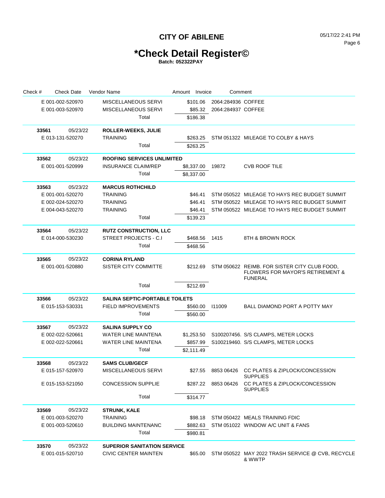# **\*Check Detail Register©**

| Check # | <b>Check Date</b> | Vendor Name                           | Amount Invoice | Comment            |                                                                                             |
|---------|-------------------|---------------------------------------|----------------|--------------------|---------------------------------------------------------------------------------------------|
|         | E 001-002-520970  | MISCELLANEOUS SERVI                   | \$101.06       | 2064:284936 COFFEE |                                                                                             |
|         | E 001-003-520970  | <b>MISCELLANEOUS SERVI</b>            | \$85.32        | 2064:284937 COFFEE |                                                                                             |
|         |                   | Total                                 | \$186.38       |                    |                                                                                             |
| 33561   | 05/23/22          | <b>ROLLER-WEEKS, JULIE</b>            |                |                    |                                                                                             |
|         | E 013-131-520270  | TRAINING                              | \$263.25       |                    | STM 051322 MILEAGE TO COLBY & HAYS                                                          |
|         |                   | Total                                 | \$263.25       |                    |                                                                                             |
| 33562   | 05/23/22          | <b>ROOFING SERVICES UNLIMITED</b>     |                |                    |                                                                                             |
|         | E 001-001-520999  | <b>INSURANCE CLAIM/REP</b>            | \$8,337.00     | 19872              | <b>CVB ROOF TILE</b>                                                                        |
|         |                   | Total                                 | \$8,337.00     |                    |                                                                                             |
| 33563   | 05/23/22          | <b>MARCUS ROTHCHILD</b>               |                |                    |                                                                                             |
|         | E 001-001-520270  | <b>TRAINING</b>                       | \$46.41        |                    | STM 050522 MILEAGE TO HAYS REC BUDGET SUMMIT                                                |
|         | E 002-024-520270  | <b>TRAINING</b>                       | \$46.41        |                    | STM 050522 MILEAGE TO HAYS REC BUDGET SUMMIT                                                |
|         | E 004-043-520270  | TRAINING                              | \$46.41        |                    | STM 050522 MILEAGE TO HAYS REC BUDGET SUMMIT                                                |
|         |                   | Total                                 | \$139.23       |                    |                                                                                             |
| 33564   | 05/23/22          | <b>RUTZ CONSTRUCTION, LLC</b>         |                |                    |                                                                                             |
|         | E 014-000-530230  | STREET PROJECTS - C.I                 | \$468.56       | 1415               | 8TH & BROWN ROCK                                                                            |
|         |                   | Total                                 | \$468.56       |                    |                                                                                             |
| 33565   | 05/23/22          | <b>CORINA RYLAND</b>                  |                |                    |                                                                                             |
|         | E 001-001-520880  | SISTER CITY COMMITTE                  | \$212.69       |                    | STM 050622 REIMB. FOR SISTER CITY CLUB FOOD,<br><b>FLOWERS FOR MAYOR'S RETIREMENT &amp;</b> |
|         |                   |                                       |                |                    | <b>FUNERAL</b>                                                                              |
|         |                   | Total                                 | \$212.69       |                    |                                                                                             |
| 33566   | 05/23/22          | <b>SALINA SEPTIC-PORTABLE TOILETS</b> |                |                    |                                                                                             |
|         | E 015-153-530331  | <b>FIELD IMPROVEMENTS</b>             | \$560.00       | 111009             | BALL DIAMOND PORT A POTTY MAY                                                               |
|         |                   | Total                                 | \$560.00       |                    |                                                                                             |
| 33567   | 05/23/22          | <b>SALINA SUPPLY CO</b>               |                |                    |                                                                                             |
|         | E 002-022-520661  | WATER LINE MAINTENA                   | \$1.253.50     |                    | S100207456. S/S CLAMPS, METER LOCKS                                                         |
|         | E 002-022-520661  | <b>WATER LINE MAINTENA</b>            | \$857.99       |                    | S100219460. S/S CLAMPS, METER LOCKS                                                         |
|         |                   | Total                                 | \$2,111.49     |                    |                                                                                             |
| 33568   | 05/23/22          | <b>SAMS CLUB/GECF</b>                 |                |                    |                                                                                             |
|         | E 015-157-520970  | MISCELLANEOUS SERVI                   | \$27.55        | 8853 06426         | CC PLATES & ZIPLOCK/CONCESSION<br><b>SUPPLIES</b>                                           |
|         | E 015-153-521050  | <b>CONCESSION SUPPLIE</b>             | \$287.22       | 8853 06426         | CC PLATES & ZIPLOCK/CONCESSION<br><b>SUPPLIES</b>                                           |
|         |                   | Total                                 | \$314.77       |                    |                                                                                             |
| 33569   | 05/23/22          | <b>STRUNK, KALE</b>                   |                |                    |                                                                                             |
|         | E 001-003-520270  | TRAINING                              | \$98.18        |                    | STM 050422 MEALS TRAINING FDIC                                                              |
|         | E 001-003-520610  | <b>BUILDING MAINTENANC</b>            | \$882.63       |                    | STM 051022 WINDOW A/C UNIT & FANS                                                           |
|         |                   | Total                                 | \$980.81       |                    |                                                                                             |
| 33570   | 05/23/22          | <b>SUPERIOR SANITATION SERVICE</b>    |                |                    |                                                                                             |
|         | E 001-015-520710  | CIVIC CENTER MAINTEN                  | \$65.00        |                    | STM 050522 MAY 2022 TRASH SERVICE @ CVB, RECYCLE<br>& WWTP                                  |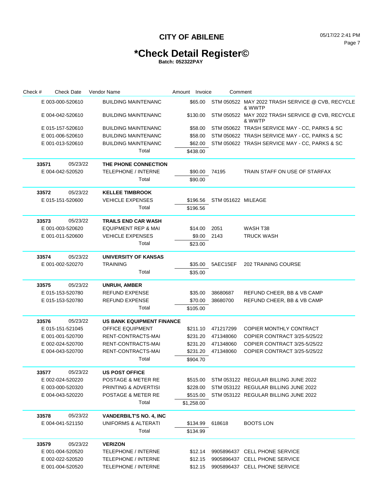## **\*Check Detail Register©**

| Check # | <b>Check Date</b> | Vendor Name                      | Amount Invoice | Comment            |                                                            |
|---------|-------------------|----------------------------------|----------------|--------------------|------------------------------------------------------------|
|         | E 003-000-520610  | <b>BUILDING MAINTENANC</b>       | \$65.00        |                    | STM 050522 MAY 2022 TRASH SERVICE @ CVB, RECYCLE<br>& WWTP |
|         | E 004-042-520610  | <b>BUILDING MAINTENANC</b>       | \$130.00       |                    | STM 050522 MAY 2022 TRASH SERVICE @ CVB, RECYCLE<br>& WWTP |
|         | E 015-157-520610  | <b>BUILDING MAINTENANC</b>       | \$58.00        |                    | STM 050622 TRASH SERVICE MAY - CC, PARKS & SC              |
|         | E 001-006-520610  | <b>BUILDING MAINTENANC</b>       | \$58.00        |                    | STM 050622 TRASH SERVICE MAY - CC, PARKS & SC              |
|         | E 001-013-520610  | <b>BUILDING MAINTENANC</b>       | \$62.00        |                    | STM 050622 TRASH SERVICE MAY - CC, PARKS & SC              |
|         |                   | Total                            | \$438.00       |                    |                                                            |
| 33571   | 05/23/22          | THE PHONE CONNECTION             |                |                    |                                                            |
|         | E 004-042-520520  | <b>TELEPHONE / INTERNE</b>       | \$90.00        | 74195              | TRAIN STAFF ON USE OF STARFAX                              |
|         |                   | Total                            | \$90.00        |                    |                                                            |
| 33572   | 05/23/22          | <b>KELLEE TIMBROOK</b>           |                |                    |                                                            |
|         | E 015-151-520600  | <b>VEHICLE EXPENSES</b>          | \$196.56       | STM 051622 MILEAGE |                                                            |
|         |                   | Total                            | \$196.56       |                    |                                                            |
| 33573   | 05/23/22          | <b>TRAILS END CAR WASH</b>       |                |                    |                                                            |
|         | E 001-003-520620  | <b>EQUIPMENT REP &amp; MAI</b>   | \$14.00        | 2051               | WASH T38                                                   |
|         | E 001-011-520600  | <b>VEHICLE EXPENSES</b>          | \$9.00         | 2143               | <b>TRUCK WASH</b>                                          |
|         |                   | Total                            | \$23.00        |                    |                                                            |
| 33574   | 05/23/22          | <b>UNIVERSITY OF KANSAS</b>      |                |                    |                                                            |
|         | E 001-002-520270  | <b>TRAINING</b>                  | \$35.00        | 5AEC15EF           | <b>202 TRAINING COURSE</b>                                 |
|         |                   | Total                            | \$35.00        |                    |                                                            |
| 33575   | 05/23/22          | <b>UNRUH, AMBER</b>              |                |                    |                                                            |
|         | E 015-153-520780  | <b>REFUND EXPENSE</b>            | \$35.00        | 38680687           | REFUND CHEER, BB & VB CAMP                                 |
|         | E 015-153-520780  | <b>REFUND EXPENSE</b>            | \$70.00        | 38680700           | REFUND CHEER, BB & VB CAMP                                 |
|         |                   | Total                            | \$105.00       |                    |                                                            |
| 33576   | 05/23/22          | <b>US BANK EQUIPMENT FINANCE</b> |                |                    |                                                            |
|         | E 015-151-521045  | <b>OFFICE EQUIPMENT</b>          | \$211.10       | 471217299          | COPIER MONTHLY CONTRACT                                    |
|         | E 001-001-520700  | RENT-CONTRACTS-MAI               | \$231.20       | 471348060          | COPIER CONTRACT 3/25-5/25/22                               |
|         | E 002-024-520700  | RENT-CONTRACTS-MAI               | \$231.20       | 471348060          | COPIER CONTRACT 3/25-5/25/22                               |
|         | E 004-043-520700  | RENT-CONTRACTS-MAI               | \$231.20       | 471348060          | COPIER CONTRACT 3/25-5/25/22                               |
|         |                   | Total                            | \$904.70       |                    |                                                            |
| 33577   | 05/23/22          | <b>US POST OFFICE</b>            |                |                    |                                                            |
|         | E 002-024-520220  | POSTAGE & METER RE               | \$515.00       |                    | STM 053122 REGULAR BILLING JUNE 2022                       |
|         | E 003-000-520320  | <b>PRINTING &amp; ADVERTISI</b>  | \$228.00       |                    | STM 053122 REGULAR BILLING JUNE 2022                       |
|         | E 004-043-520220  | <b>POSTAGE &amp; METER RE</b>    | \$515.00       |                    | STM 053122 REGULAR BILLING JUNE 2022                       |
|         |                   | Total                            | \$1,258.00     |                    |                                                            |
| 33578   | 05/23/22          | <b>VANDERBILT'S NO. 4, INC</b>   |                |                    |                                                            |
|         | E 004-041-521150  | UNIFORMS & ALTERATI              | \$134.99       | 618618             | <b>BOOTS LON</b>                                           |
|         |                   | Total                            | \$134.99       |                    |                                                            |
| 33579   | 05/23/22          | <b>VERIZON</b>                   |                |                    |                                                            |
|         | E 001-004-520520  | TELEPHONE / INTERNE              | \$12.14        |                    | 9905896437 CELL PHONE SERVICE                              |
|         | E 002-022-520520  | <b>TELEPHONE / INTERNE</b>       |                |                    | \$12.15 9905896437 CELL PHONE SERVICE                      |
|         | E 001-004-520520  | TELEPHONE / INTERNE              |                |                    | \$12.15 9905896437 CELL PHONE SERVICE                      |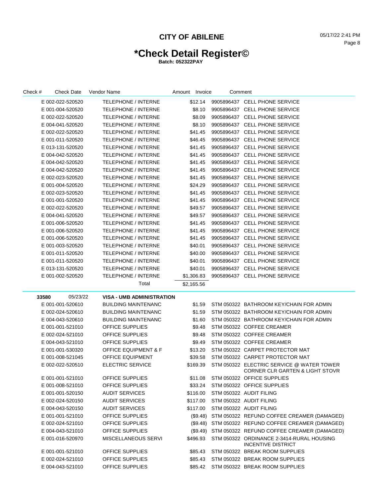# **\*Check Detail Register©**

| Check # | <b>Check Date</b> | Vendor Name                      | Amount Invoice |            | Comment |                                                                                         |
|---------|-------------------|----------------------------------|----------------|------------|---------|-----------------------------------------------------------------------------------------|
|         | E 002-022-520520  | TELEPHONE / INTERNE              |                |            |         | \$12.14 9905896437 CELL PHONE SERVICE                                                   |
|         | E 001-004-520520  | <b>TELEPHONE / INTERNE</b>       |                | \$8.10     |         | 9905896437 CELL PHONE SERVICE                                                           |
|         | E 002-022-520520  | <b>TELEPHONE / INTERNE</b>       |                | \$8.09     |         | 9905896437 CELL PHONE SERVICE                                                           |
|         | E 004-041-520520  | <b>TELEPHONE / INTERNE</b>       |                | \$8.10     |         | 9905896437 CELL PHONE SERVICE                                                           |
|         | E 002-022-520520  | <b>TELEPHONE / INTERNE</b>       |                | \$41.45    |         | 9905896437 CELL PHONE SERVICE                                                           |
|         | E 001-011-520520  | TELEPHONE / INTERNE              |                | \$46.45    |         | 9905896437 CELL PHONE SERVICE                                                           |
|         | E 013-131-520520  | TELEPHONE / INTERNE              |                | \$41.45    |         | 9905896437 CELL PHONE SERVICE                                                           |
|         | E 004-042-520520  | <b>TELEPHONE / INTERNE</b>       |                | \$41.45    |         | 9905896437 CELL PHONE SERVICE                                                           |
|         | E 004-042-520520  | TELEPHONE / INTERNE              |                | \$41.45    |         | 9905896437 CELL PHONE SERVICE                                                           |
|         | E 004-042-520520  | TELEPHONE / INTERNE              |                | \$41.45    |         | 9905896437 CELL PHONE SERVICE                                                           |
|         | E 002-023-520520  | TELEPHONE / INTERNE              |                | \$41.45    |         | 9905896437 CELL PHONE SERVICE                                                           |
|         | E 001-004-520520  | <b>TELEPHONE / INTERNE</b>       |                | \$24.29    |         | 9905896437 CELL PHONE SERVICE                                                           |
|         | E 002-023-520520  | <b>TELEPHONE / INTERNE</b>       |                | \$41.45    |         | 9905896437 CELL PHONE SERVICE                                                           |
|         | E 001-001-520520  | <b>TELEPHONE / INTERNE</b>       |                | \$41.45    |         | 9905896437 CELL PHONE SERVICE                                                           |
|         | E 002-022-520520  | <b>TELEPHONE / INTERNE</b>       |                | \$49.57    |         | 9905896437 CELL PHONE SERVICE                                                           |
|         | E 004-041-520520  | <b>TELEPHONE / INTERNE</b>       |                | \$49.57    |         | 9905896437 CELL PHONE SERVICE                                                           |
|         | E 001-006-520520  | <b>TELEPHONE / INTERNE</b>       |                | \$41.45    |         | 9905896437 CELL PHONE SERVICE                                                           |
|         | E 001-006-520520  | <b>TELEPHONE / INTERNE</b>       |                | \$41.45    |         | 9905896437 CELL PHONE SERVICE                                                           |
|         | E 001-006-520520  | <b>TELEPHONE / INTERNE</b>       |                | \$41.45    |         | 9905896437 CELL PHONE SERVICE                                                           |
|         | E 001-003-520520  | <b>TELEPHONE / INTERNE</b>       |                | \$40.01    |         | 9905896437 CELL PHONE SERVICE                                                           |
|         | E 001-011-520520  | <b>TELEPHONE / INTERNE</b>       |                | \$40.00    |         | 9905896437 CELL PHONE SERVICE                                                           |
|         | E 001-011-520520  | <b>TELEPHONE / INTERNE</b>       |                | \$40.01    |         | 9905896437 CELL PHONE SERVICE                                                           |
|         | E 013-131-520520  | <b>TELEPHONE / INTERNE</b>       |                | \$40.01    |         | 9905896437 CELL PHONE SERVICE                                                           |
|         | E 001-002-520520  | <b>TELEPHONE / INTERNE</b>       |                | \$1,306.83 |         | 9905896437 CELL PHONE SERVICE                                                           |
|         |                   | Total                            |                | \$2,165.56 |         |                                                                                         |
| 33580   | 05/23/22          | <b>VISA - UMB ADMINISTRATION</b> |                |            |         |                                                                                         |
|         | E 001-001-520610  | <b>BUILDING MAINTENANC</b>       |                | \$1.59     |         | STM 050322 BATHROOM KEY/CHAIN FOR ADMIN                                                 |
|         | E 002-024-520610  | <b>BUILDING MAINTENANC</b>       |                | \$1.59     |         | STM 050322 BATHROOM KEY/CHAIN FOR ADMIN                                                 |
|         | E 004-043-520610  | BUILDING MAINTENANC              |                | \$1.60     |         | STM 050322 BATHROOM KEY/CHAIN FOR ADMIN                                                 |
|         | E 001-001-521010  | <b>OFFICE SUPPLIES</b>           |                | \$9.48     |         | STM 050322 COFFEE CREAMER                                                               |
|         | E 002-024-521010  | <b>OFFICE SUPPLIES</b>           |                | \$9.48     |         | STM 050322 COFFEE CREAMER                                                               |
|         | E 004-043-521010  | <b>OFFICE SUPPLIES</b>           |                | \$9.49     |         | STM 050322 COFFEE CREAMER                                                               |
|         | E 001-001-530320  | <b>OFFICE EQUIPMENT &amp; F</b>  |                | \$13.20    |         | STM 050322 CARPET PROTECTOR MAT                                                         |
|         | E 001-008-521045  | <b>OFFICE EQUIPMENT</b>          |                | \$39.58    |         | STM 050322 CARPET PROTECTOR MAT                                                         |
|         | E 002-022-520510  | <b>ELECTRIC SERVICE</b>          |                | \$169.39   |         | STM 050322 ELECTRIC SERVICE @ WATER TOWER<br><b>CORNER CLR GARTEN &amp; LIGHT STOVR</b> |
|         | E 001-001-521010  | OFFICE SUPPLIES                  |                | \$11.08    |         | STM 050322 OFFICE SUPPLIES                                                              |
|         | E 001-008-521010  | OFFICE SUPPLIES                  |                |            |         | \$33.24 STM 050322 OFFICE SUPPLIES                                                      |
|         | E 001-001-520150  | <b>AUDIT SERVICES</b>            |                |            |         | \$116.00 STM 050322 AUDIT FILING                                                        |
|         | E 002-024-520150  | <b>AUDIT SERVICES</b>            |                | \$117.00   |         | STM 050322 AUDIT FILING                                                                 |
|         | E 004-043-520150  | <b>AUDIT SERVICES</b>            |                | \$117.00   |         | STM 050322 AUDIT FILING                                                                 |
|         | E 001-001-521010  | OFFICE SUPPLIES                  |                |            |         | (\$9.48) STM 050322 REFUND COFFEE CREAMER (DAMAGED)                                     |
|         | E 002-024-521010  | OFFICE SUPPLIES                  |                |            |         | (\$9.48) STM 050322 REFUND COFFEE CREAMER (DAMAGED)                                     |
|         | E 004-043-521010  | <b>OFFICE SUPPLIES</b>           |                |            |         | (\$9.49) STM 050322 REFUND COFFEE CREAMER (DAMAGED)                                     |
|         | E 001-016-520970  | MISCELLANEOUS SERVI              |                | \$496.93   |         | STM 050322 ORDINANCE 2-3414-RURAL HOUSING<br>INCENTIVE DISTRICT                         |
|         | E 001-001-521010  | OFFICE SUPPLIES                  |                | \$85.43    |         | STM 050322 BREAK ROOM SUPPLIES                                                          |
|         | E 002-024-521010  | OFFICE SUPPLIES                  |                | \$85.43    |         | STM 050322 BREAK ROOM SUPPLIES                                                          |
|         | E 004-043-521010  | OFFICE SUPPLIES                  |                |            |         | \$85.42 STM 050322 BREAK ROOM SUPPLIES                                                  |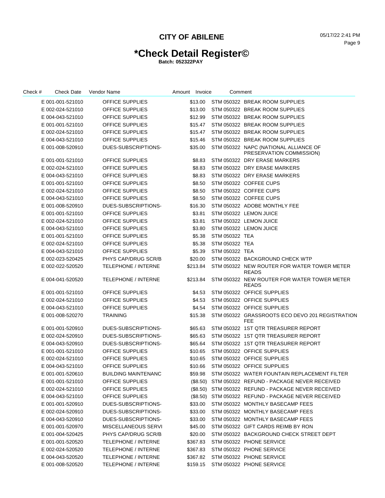# **\*Check Detail Register©**

| Check # | <b>Check Date</b> | Vendor Name                | Amount Invoice |             | Comment        |                                                             |
|---------|-------------------|----------------------------|----------------|-------------|----------------|-------------------------------------------------------------|
|         | E 001-001-521010  | <b>OFFICE SUPPLIES</b>     |                | \$13.00     |                | STM 050322 BREAK ROOM SUPPLIES                              |
|         | E 002-024-521010  | <b>OFFICE SUPPLIES</b>     |                | \$13.00     |                | STM 050322 BREAK ROOM SUPPLIES                              |
|         | E 004-043-521010  | <b>OFFICE SUPPLIES</b>     |                | \$12.99     |                | STM 050322 BREAK ROOM SUPPLIES                              |
|         | E 001-001-521010  | <b>OFFICE SUPPLIES</b>     |                | \$15.47     |                | STM 050322 BREAK ROOM SUPPLIES                              |
|         | E 002-024-521010  | <b>OFFICE SUPPLIES</b>     |                | \$15.47     |                | STM 050322 BREAK ROOM SUPPLIES                              |
|         | E 004-043-521010  | <b>OFFICE SUPPLIES</b>     |                | \$15.46     |                | STM 050322 BREAK ROOM SUPPLIES                              |
|         | E 001-008-520910  | DUES-SUBSCRIPTIONS-        |                | \$35.00     |                | STM 050322 NAPC (NATIONAL ALLIANCE OF                       |
|         |                   |                            |                |             |                | PRESERVATION COMMISSION)                                    |
|         | E 001-001-521010  | <b>OFFICE SUPPLIES</b>     |                | \$8.83      |                | STM 050322 DRY ERASE MARKERS                                |
|         | E 002-024-521010  | <b>OFFICE SUPPLIES</b>     |                | \$8.83      |                | STM 050322 DRY ERASE MARKERS                                |
|         | E 004-043-521010  | <b>OFFICE SUPPLIES</b>     |                | \$8.83      |                | STM 050322 DRY ERASE MARKERS                                |
|         | E 001-001-521010  | <b>OFFICE SUPPLIES</b>     |                | \$8.50      |                | STM 050322 COFFEE CUPS                                      |
|         | E 002-024-521010  | <b>OFFICE SUPPLIES</b>     |                | \$8.50      |                | STM 050322 COFFEE CUPS                                      |
|         | E 004-043-521010  | <b>OFFICE SUPPLIES</b>     |                | \$8.50      |                | STM 050322 COFFEE CUPS                                      |
|         | E 001-008-520910  | DUES-SUBSCRIPTIONS-        |                | \$16.30     |                | STM 050322 ADOBE MONTHLY FEE                                |
|         | E 001-001-521010  | <b>OFFICE SUPPLIES</b>     |                | \$3.81      |                | STM 050322 LEMON JUICE                                      |
|         | E 002-024-521010  | <b>OFFICE SUPPLIES</b>     |                | \$3.81      |                | STM 050322 LEMON JUICE                                      |
|         | E 004-043-521010  | <b>OFFICE SUPPLIES</b>     |                | \$3.80      |                | STM 050322 LEMON JUICE                                      |
|         | E 001-001-521010  | <b>OFFICE SUPPLIES</b>     |                | \$5.38      | STM 050322 TEA |                                                             |
|         | E 002-024-521010  | <b>OFFICE SUPPLIES</b>     |                | \$5.38      | STM 050322 TEA |                                                             |
|         | E 004-043-521010  | <b>OFFICE SUPPLIES</b>     |                | \$5.39      | STM 050322 TEA |                                                             |
|         | E 002-023-520425  | PHYS CAP/DRUG SCR/B        |                | \$20.00     |                | STM 050322 BACKGROUND CHECK WTP                             |
|         | E 002-022-520520  | <b>TELEPHONE / INTERNE</b> |                | \$213.84    |                | STM 050322 NEW ROUTER FOR WATER TOWER METER<br><b>READS</b> |
|         | E 004-041-520520  | <b>TELEPHONE / INTERNE</b> |                | \$213.84    |                | STM 050322 NEW ROUTER FOR WATER TOWER METER<br><b>READS</b> |
|         | E 001-001-521010  | OFFICE SUPPLIES            |                | \$4.53      |                | STM 050322 OFFICE SUPPLIES                                  |
|         | E 002-024-521010  | <b>OFFICE SUPPLIES</b>     |                | \$4.53      |                | STM 050322 OFFICE SUPPLIES                                  |
|         | E 004-043-521010  | <b>OFFICE SUPPLIES</b>     |                | \$4.54      |                | STM 050322 OFFICE SUPPLIES                                  |
|         | E 001-008-520270  | <b>TRAINING</b>            |                | \$15.38     |                | STM 050322 GRASSROOTS ECO DEVO 201 REGISTRATION<br>FEE      |
|         | E 001-001-520910  | DUES-SUBSCRIPTIONS-        |                | \$65.63     |                | STM 050322 1ST QTR TREASURER REPORT                         |
|         | E 002-024-520910  | DUES-SUBSCRIPTIONS-        |                | \$65.63     |                | STM 050322 1ST QTR TREASURER REPORT                         |
|         | E 004-043-520910  | DUES-SUBSCRIPTIONS-        |                | \$65.64     |                | STM 050322 1ST QTR TREASURER REPORT                         |
|         | E 001-001-521010  | <b>OFFICE SUPPLIES</b>     |                | \$10.65     |                | STM 050322 OFFICE SUPPLIES                                  |
|         | E 002-024-521010  | <b>OFFICE SUPPLIES</b>     |                | \$10.65     |                | STM 050322 OFFICE SUPPLIES                                  |
|         | E 004-043-521010  | <b>OFFICE SUPPLIES</b>     |                | \$10.66     |                | STM 050322 OFFICE SUPPLIES                                  |
|         | E 001-001-520610  | <b>BUILDING MAINTENANC</b> |                | \$59.98     |                | STM 050322 WATER FOUNTAIN REPLACEMENT FILTER                |
|         | E 001-001-521010  | OFFICE SUPPLIES            |                | (\$8.50)    |                | STM 050322 REFUND - PACKAGE NEVER RECEIVED                  |
|         | E 002-024-521010  | <b>OFFICE SUPPLIES</b>     |                | (S8.50)     |                | STM 050322 REFUND - PACKAGE NEVER RECEIVED                  |
|         | E 004-043-521010  | OFFICE SUPPLIES            |                | $($ \$8.50) |                | STM 050322 REFUND - PACKAGE NEVER RECEIVED                  |
|         | E 001-001-520910  | DUES-SUBSCRIPTIONS-        |                | \$33.00     |                | STM 050322 MONTHLY BASECAMP FEES                            |
|         | E 002-024-520910  | DUES-SUBSCRIPTIONS-        |                | \$33.00     |                | STM 050322 MONTHLY BASECAMP FEES                            |
|         | E 004-043-520910  | DUES-SUBSCRIPTIONS-        |                | \$33.00     |                | STM 050322 MONTHLY BASECAMP FEES                            |
|         | E 001-001-520970  | <b>MISCELLANEOUS SERVI</b> |                | \$45.00     |                | STM 050322 GIFT CARDS REIMB BY RON                          |
|         | E 001-004-520425  | PHYS CAP/DRUG SCR/B        |                | \$20.00     |                | STM 050322 BACKGROUND CHECK STREET DEPT                     |
|         | E 001-001-520520  | <b>TELEPHONE / INTERNE</b> |                | \$367.83    |                | STM 050322 PHONE SERVICE                                    |
|         | E 002-024-520520  | <b>TELEPHONE / INTERNE</b> |                | \$367.83    |                | STM 050322 PHONE SERVICE                                    |
|         | E 004-043-520520  | <b>TELEPHONE / INTERNE</b> |                | \$367.82    |                | STM 050322 PHONE SERVICE                                    |
|         | E 001-008-520520  | <b>TELEPHONE / INTERNE</b> |                | \$159.15    |                | STM 050322 PHONE SERVICE                                    |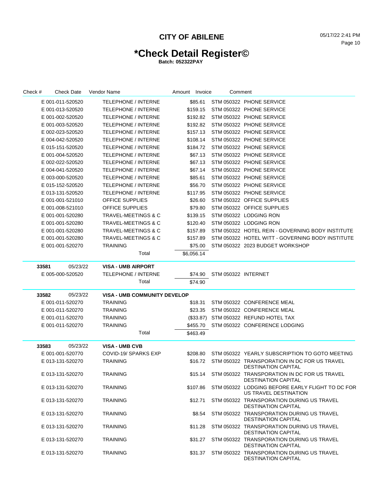# **\*Check Detail Register©**

| Check # |                  | <b>Check Date</b> | Vendor Name                         | Amount Invoice |            | Comment             |                                                                            |
|---------|------------------|-------------------|-------------------------------------|----------------|------------|---------------------|----------------------------------------------------------------------------|
|         | E 001-011-520520 |                   | TELEPHONE / INTERNE                 |                | \$85.61    |                     | STM 050322 PHONE SERVICE                                                   |
|         | E 001-013-520520 |                   | <b>TELEPHONE / INTERNE</b>          |                | \$159.15   |                     | STM 050322 PHONE SERVICE                                                   |
|         | E 001-002-520520 |                   | <b>TELEPHONE / INTERNE</b>          |                | \$192.82   |                     | STM 050322 PHONE SERVICE                                                   |
|         | E 001-003-520520 |                   | <b>TELEPHONE / INTERNE</b>          |                | \$192.82   |                     | STM 050322 PHONE SERVICE                                                   |
|         | E 002-023-520520 |                   | <b>TELEPHONE / INTERNE</b>          |                | \$157.13   |                     | STM 050322 PHONE SERVICE                                                   |
|         | E 004-042-520520 |                   | <b>TELEPHONE / INTERNE</b>          |                | \$108.14   |                     | STM 050322 PHONE SERVICE                                                   |
|         | E 015-151-520520 |                   | <b>TELEPHONE / INTERNE</b>          |                | \$184.72   |                     | STM 050322 PHONE SERVICE                                                   |
|         | E 001-004-520520 |                   | <b>TELEPHONE / INTERNE</b>          |                | \$67.13    |                     | STM 050322 PHONE SERVICE                                                   |
|         | E 002-022-520520 |                   | <b>TELEPHONE / INTERNE</b>          |                | \$67.13    |                     | STM 050322 PHONE SERVICE                                                   |
|         | E 004-041-520520 |                   | <b>TELEPHONE / INTERNE</b>          |                | \$67.14    |                     | STM 050322 PHONE SERVICE                                                   |
|         | E 003-000-520520 |                   | <b>TELEPHONE / INTERNE</b>          |                | \$85.61    |                     | STM 050322 PHONE SERVICE                                                   |
|         | E 015-152-520520 |                   | <b>TELEPHONE / INTERNE</b>          |                | \$56.70    |                     | STM 050322 PHONE SERVICE                                                   |
|         | E 013-131-520520 |                   | <b>TELEPHONE / INTERNE</b>          |                | \$117.95   |                     | STM 050322 PHONE SERVICE                                                   |
|         | E 001-001-521010 |                   | <b>OFFICE SUPPLIES</b>              |                | \$26.60    |                     | STM 050322 OFFICE SUPPLIES                                                 |
|         | E 001-008-521010 |                   | <b>OFFICE SUPPLIES</b>              |                | \$79.80    |                     | STM 050322 OFFICE SUPPLIES                                                 |
|         | E 001-001-520280 |                   | TRAVEL-MEETINGS & C                 |                | \$139.15   |                     | STM 050322 LODGING RON                                                     |
|         | E 001-001-520280 |                   | TRAVEL-MEETINGS & C                 |                | \$120.40   |                     | STM 050322 LODGING RON                                                     |
|         | E 001-001-520280 |                   | TRAVEL-MEETINGS & C                 |                | \$157.89   |                     | STM 050322 HOTEL REIN - GOVERNING BODY INSTITUTE                           |
|         | E 001-001-520280 |                   | TRAVEL-MEETINGS & C                 |                | \$157.89   |                     | STM 050322 HOTEL WITT - GOVERNING BODY INSTITUTE                           |
|         | E 001-001-520270 |                   | TRAINING                            |                | \$75.00    |                     | STM 050322 2023 BUDGET WORKSHOP                                            |
|         |                  |                   | Total                               |                | \$6,056.14 |                     |                                                                            |
| 33581   |                  | 05/23/22          | <b>VISA - UMB AIRPORT</b>           |                |            |                     |                                                                            |
|         | E 005-000-520520 |                   | <b>TELEPHONE / INTERNE</b>          |                | \$74.90    | STM 050322 INTERNET |                                                                            |
|         |                  |                   | Total                               |                | \$74.90    |                     |                                                                            |
| 33582   |                  | 05/23/22          | <b>VISA - UMB COMMUNITY DEVELOP</b> |                |            |                     |                                                                            |
|         | E 001-011-520270 |                   | TRAINING                            |                | \$18.31    |                     | STM 050322 CONFERENCE MEAL                                                 |
|         | E 001-011-520270 |                   | TRAINING                            |                | \$23.35    |                     | STM 050322 CONFERENCE MEAL                                                 |
|         | E 001-011-520270 |                   | <b>TRAINING</b>                     |                |            |                     | (\$33.87) STM 050322 REFUND HOTEL TAX                                      |
|         | E 001-011-520270 |                   | TRAINING                            |                | \$455.70   |                     | STM 050322 CONFERENCE LODGING                                              |
|         |                  |                   | Total                               |                | \$463.49   |                     |                                                                            |
| 33583   |                  | 05/23/22          | <b>VISA - UMB CVB</b>               |                |            |                     |                                                                            |
|         | E 001-001-520770 |                   | COVID-19/ SPARKS EXP                |                | \$208.80   |                     | STM 050322 YEARLY SUBSCRIPTION TO GOTO MEETING                             |
|         | E 013-131-520270 |                   | <b>TRAINING</b>                     |                | \$16.72    |                     | STM 050322 TRANSPORATION IN DC FOR US TRAVEL<br><b>DESTINATION CAPITAL</b> |
|         | E 013-131-520270 |                   | <b>TRAINING</b>                     |                | \$15.14    |                     | STM 050322 TRANSPORATION IN DC FOR US TRAVEL<br><b>DESTINATION CAPITAL</b> |
|         | E 013-131-520270 |                   | <b>TRAINING</b>                     |                | \$107.86   |                     | STM 050322 LODGING BEFORE EARLY FLIGHT TO DC FOR<br>US TRAVEL DESTINATION  |
|         | E 013-131-520270 |                   | <b>TRAINING</b>                     |                | \$12.71    |                     | STM 050322 TRANSPORATION DURING US TRAVEL<br><b>DESTINATION CAPITAL</b>    |
|         | E 013-131-520270 |                   | TRAINING                            |                | \$8.54     |                     | STM 050322 TRANSPORATION DURING US TRAVEL<br><b>DESTINATION CAPITAL</b>    |
|         | E 013-131-520270 |                   | <b>TRAINING</b>                     |                | \$11.28    |                     | STM 050322 TRANSPORATION DURING US TRAVEL<br><b>DESTINATION CAPITAL</b>    |
|         | E 013-131-520270 |                   | <b>TRAINING</b>                     |                | \$31.27    |                     | STM 050322 TRANSPORATION DURING US TRAVEL<br><b>DESTINATION CAPITAL</b>    |
|         | E 013-131-520270 |                   | <b>TRAINING</b>                     |                | \$31.37    |                     | STM 050322 TRANSPORATION DURING US TRAVEL<br>DESTINATION CAPITAL           |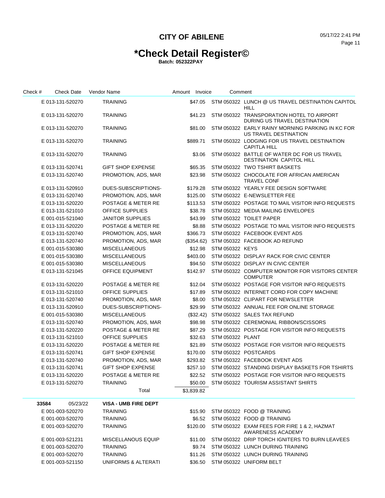# **\*Check Detail Register©**

| Check # | <b>Check Date</b> | Vendor Name                   | Amount Invoice | Comment          |                                                                                |
|---------|-------------------|-------------------------------|----------------|------------------|--------------------------------------------------------------------------------|
|         | E 013-131-520270  | <b>TRAINING</b>               | \$47.05        |                  | STM 050322 LUNCH @ US TRAVEL DESTINATION CAPITOL<br><b>HILL</b>                |
|         | E 013-131-520270  | <b>TRAINING</b>               | \$41.23        |                  | STM 050322 TRANSPORATION HOTEL TO AIRPORT<br>DURING US TRAVEL DESTINATION      |
|         | E 013-131-520270  | <b>TRAINING</b>               | \$81.00        |                  | STM 050322 EARLY RAINY MORNING PARKING IN KC FOR<br>US TRAVEL DESTINATION      |
|         | E 013-131-520270  | <b>TRAINING</b>               | \$889.71       |                  | STM 050322 LODGING FOR US TRAVEL DESTINATION<br><b>CAPITLA HILL</b>            |
|         | E 013-131-520270  | <b>TRAINING</b>               | \$3.06         |                  | STM 050322 BATTLE OF WATER DC FOR US TRAVEL<br><b>DESTINATION CAPITOL HILL</b> |
|         | E 013-131-520741  | <b>GIFT SHOP EXPENSE</b>      | \$65.35        |                  | STM 050322 TWO TSHIRT BASKETS                                                  |
|         | E 013-131-520740  | PROMOTION, ADS, MAR           | \$23.98        |                  | STM 050322 CHOCOLATE FOR AFRICAN AMERICAN<br><b>TRAVEL CONF</b>                |
|         | E 013-131-520910  | DUES-SUBSCRIPTIONS-           | \$179.28       |                  | STM 050322 YEARLY FEE DESIGN SOFTWARE                                          |
|         | E 013-131-520740  | PROMOTION, ADS, MAR           | \$125.00       |                  | STM 050322 E-NEWSLETTER FEE                                                    |
|         | E 013-131-520220  | <b>POSTAGE &amp; METER RE</b> | \$113.53       |                  | STM 050322 POSTAGE TO MAIL VISITOR INFO REQUESTS                               |
|         | E 013-131-521010  | <b>OFFICE SUPPLIES</b>        | \$38.78        |                  | STM 050322 MEDIA MAILING ENVELOPES                                             |
|         | E 001-015-521040  | <b>JANITOR SUPPLIES</b>       | \$43.99        |                  | STM 050322 TOILET PAPER                                                        |
|         | E 013-131-520220  | <b>POSTAGE &amp; METER RE</b> | \$8.88         |                  | STM 050322 POSTAGE TO MAIL VISITOR INFO REQUESTS                               |
|         | E 013-131-520740  | PROMOTION, ADS, MAR           | \$366.73       |                  | STM 050322 FACEBOOK EVENT ADS                                                  |
|         | E 013-131-520740  | PROMOTION, ADS, MAR           | (\$354.62)     |                  | STM 050322 FACEBOOK AD REFUND                                                  |
|         | E 001-015-530380  | <b>MISCELLANEOUS</b>          | \$12.98        | STM 050322 KEYS  |                                                                                |
|         | E 001-015-530380  | <b>MISCELLANEOUS</b>          | \$403.00       |                  | STM 050322 DISPLAY RACK FOR CIVIC CENTER                                       |
|         | E 001-015-530380  | <b>MISCELLANEOUS</b>          | \$94.50        |                  | STM 050322 DISPLAY IN CIVIC CENTER                                             |
|         | E 013-131-521045  | <b>OFFICE EQUIPMENT</b>       | \$142.97       |                  | STM 050322 COMPUTER MONITOR FOR VISITORS CENTER<br><b>COMPUTER</b>             |
|         | E 013-131-520220  | POSTAGE & METER RE            | \$12.04        |                  | STM 050322 POSTAGE FOR VISITOR INFO REQUESTS                                   |
|         | E 013-131-521010  | <b>OFFICE SUPPLIES</b>        | \$17.89        |                  | STM 050322 INTERNET CORD FOR COPY MACHINE                                      |
|         | E 013-131-520740  | PROMOTION, ADS, MAR           | \$8.00         |                  | STM 050322 CLIPART FOR NEWSLETTER                                              |
|         | E 013-131-520910  | DUES-SUBSCRIPTIONS-           | \$29.99        |                  | STM 050322 ANNUAL FEE FOR ONLINE STORAGE                                       |
|         | E 001-015-530380  | <b>MISCELLANEOUS</b>          | $(\$32.42)$    |                  | STM 050322 SALES TAX REFUND                                                    |
|         | E 013-131-520740  | PROMOTION, ADS, MAR           | \$98.98        |                  | STM 050322 CEREMONIAL RIBBON/SCISSORS                                          |
|         | E 013-131-520220  | POSTAGE & METER RE            | \$87.29        |                  | STM 050322 POSTAGE FOR VISITOR INFO REQUESTS                                   |
|         | E 013-131-521010  | <b>OFFICE SUPPLIES</b>        | \$32.63        | STM 050322 PLANT |                                                                                |
|         | E 013-131-520220  | POSTAGE & METER RE            | \$21.89        |                  | STM 050322 POSTAGE FOR VISITOR INFO REQUESTS                                   |
|         | E 013-131-520741  | <b>GIFT SHOP EXPENSE</b>      | \$170.00       |                  | STM 050322 POSTCARDS                                                           |
|         | E 013-131-520740  | PROMOTION, ADS, MAR           | \$293.82       |                  | STM 050322 FACEBOOK EVENT ADS                                                  |
|         | E 013-131-520741  | <b>GIFT SHOP EXPENSE</b>      | \$257.10       |                  | STM 050322 STANDING DISPLAY BASKETS FOR TSHIRTS                                |
|         | E 013-131-520220  | POSTAGE & METER RE            |                |                  | \$22.52 STM 050322 POSTAGE FOR VISITOR INFO REQUESTS                           |
|         | E 013-131-520270  | <b>TRAINING</b>               | \$50.00        |                  | STM 050322 TOURISM ASSISTANT SHIRTS                                            |
|         |                   | Total                         | \$3,839.82     |                  |                                                                                |
|         | 05/23/22<br>33584 | <b>VISA - UMB FIRE DEPT</b>   |                |                  |                                                                                |
|         | E 001-003-520270  | <b>TRAINING</b>               | \$15.90        |                  | STM 050322 FOOD @ TRAINING                                                     |
|         | E 001-003-520270  | <b>TRAINING</b>               | \$6.52         |                  | STM 050322 FOOD @ TRAINING                                                     |
|         | E 001-003-520270  | <b>TRAINING</b>               | \$120.00       |                  | STM 050322 EXAM FEES FOR FIRE 1 & 2, HAZMAT<br>AWARENESS ACADEMY               |
|         | E 001-003-521231  | <b>MISCELLANOUS EQUIP</b>     | \$11.00        |                  | STM 050322 DRIP TORCH IGNITERS TO BURN LEAVEES                                 |
|         | E 001-003-520270  | <b>TRAINING</b>               | \$9.74         |                  | STM 050322 LUNCH DURING TRAINING                                               |
|         | E 001-003-520270  | <b>TRAINING</b>               | \$11.26        |                  | STM 050322 LUNCH DURING TRAINING                                               |
|         | E 001-003-521150  | UNIFORMS & ALTERATI           | \$36.50        |                  | STM 050322 UNIFORM BELT                                                        |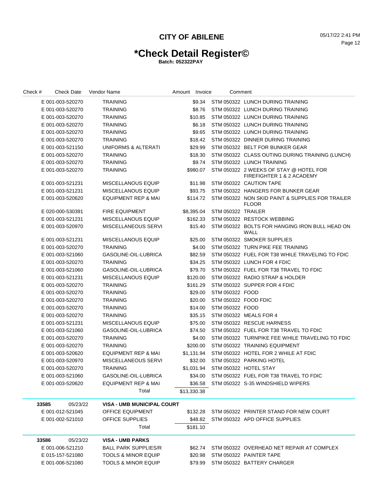# **\*Check Detail Register©**

| Check # |       | <b>Check Date</b> | Vendor Name                       | Amount Invoice |             | Comment              |                                                                     |
|---------|-------|-------------------|-----------------------------------|----------------|-------------|----------------------|---------------------------------------------------------------------|
|         |       | E 001-003-520270  | <b>TRAINING</b>                   |                | \$9.34      |                      | STM 050322 LUNCH DURING TRAINING                                    |
|         |       | E 001-003-520270  | <b>TRAINING</b>                   |                | \$8.76      |                      | STM 050322 LUNCH DURING TRAINING                                    |
|         |       | E 001-003-520270  | <b>TRAINING</b>                   |                | \$10.85     |                      | STM 050322 LUNCH DURING TRAINING                                    |
|         |       | E 001-003-520270  | <b>TRAINING</b>                   |                | \$6.18      |                      | STM 050322 LUNCH DURING TRAINING                                    |
|         |       | E 001-003-520270  | <b>TRAINING</b>                   |                | \$9.65      |                      | STM 050322 LUNCH DURING TRAINING                                    |
|         |       | E 001-003-520270  | <b>TRAINING</b>                   |                | \$18.42     |                      | STM 050322 DINNER DURING TRAINING                                   |
|         |       | E 001-003-521150  | UNIFORMS & ALTERATI               |                | \$29.99     |                      | STM 050322 BELT FOR BUNKER GEAR                                     |
|         |       | E 001-003-520270  | <b>TRAINING</b>                   |                | \$18.30     |                      | STM 050322 CLASS OUTING DURING TRAINING (LUNCH)                     |
|         |       | E 001-003-520270  | <b>TRAINING</b>                   |                | \$9.74      |                      | STM 050322 LUNCH TRAINING                                           |
|         |       | E 001-003-520270  | <b>TRAINING</b>                   |                | \$980.07    |                      | STM 050322 2 WEEKS OF STAY @ HOTEL FOR<br>FIREFIGHTER 1 & 2 ACADEMY |
|         |       | E 001-003-521231  | <b>MISCELLANOUS EQUIP</b>         |                | \$11.98     |                      | STM 050322 CAUTION TAPE                                             |
|         |       | E 001-003-521231  | <b>MISCELLANOUS EQUIP</b>         |                | \$93.75     |                      | STM 050322 HANGERS FOR BUNKER GEAR                                  |
|         |       | E 001-003-520620  | <b>EQUIPMENT REP &amp; MAI</b>    |                | \$114.72    |                      | STM 050322 NON SKID PAINT & SUPPLIES FOR TRAILER<br><b>FLOOR</b>    |
|         |       | E 020-000-530391  | <b>FIRE EQUIPMENT</b>             |                | \$8,395.04  | STM 050322 TRAILER   |                                                                     |
|         |       | E 001-003-521231  | <b>MISCELLANOUS EQUIP</b>         |                | \$162.33    |                      | STM 050322 RESTOCK WEBBING                                          |
|         |       | E 001-003-520970  | <b>MISCELLANEOUS SERVI</b>        |                | \$15.40     |                      | STM 050322 BOLTS FOR HANGING IRON BULL HEAD ON<br>WALL              |
|         |       | E 001-003-521231  | <b>MISCELLANOUS EQUIP</b>         |                | \$25.00     |                      | STM 050322 SMOKER SUPPLIES                                          |
|         |       | E 001-003-520270  | <b>TRAINING</b>                   |                | \$4.00      |                      | STM 050322 TURN PIKE FEE TRAINING                                   |
|         |       | E 001-003-521060  | GASOLINE-OIL-LUBRICA              |                | \$82.59     |                      | STM 050322 FUEL FOR T38 WHILE TRAVELING TO FDIC                     |
|         |       | E 001-003-520270  | <b>TRAINING</b>                   |                | \$34.25     |                      | STM 050322 LUNCH FOR 4 FDIC                                         |
|         |       | E 001-003-521060  | <b>GASOLINE-OIL-LUBRICA</b>       |                | \$79.70     |                      | STM 050322 FUEL FOR T38 TRAVEL TO FDIC                              |
|         |       | E 001-003-521231  | <b>MISCELLANOUS EQUIP</b>         |                | \$120.00    |                      | STM 050322 RADIO STRAP & HOLDER                                     |
|         |       | E 001-003-520270  | <b>TRAINING</b>                   |                | \$161.29    |                      | STM 050322 SUPPER FOR 4 FDIC                                        |
|         |       | E 001-003-520270  | <b>TRAINING</b>                   |                | \$29.00     | STM 050322 FOOD      |                                                                     |
|         |       | E 001-003-520270  | <b>TRAINING</b>                   |                | \$20.00     | STM 050322 FOOD FDIC |                                                                     |
|         |       | E 001-003-520270  | <b>TRAINING</b>                   |                | \$14.00     | STM 050322 FOOD      |                                                                     |
|         |       | E 001-003-520270  | <b>TRAINING</b>                   |                | \$35.15     |                      | STM 050322 MEALS FOR 4                                              |
|         |       | E 001-003-521231  | <b>MISCELLANOUS EQUIP</b>         |                | \$75.00     |                      | STM 050322 RESCUE HARNESS                                           |
|         |       | E 001-003-521060  | GASOLINE-OIL-LUBRICA              |                | \$74.50     |                      | STM 050322 FUEL FOR T38 TRAVEL TO FDIC                              |
|         |       | E 001-003-520270  | <b>TRAINING</b>                   |                | \$4.00      |                      | STM 050322 TURNPIKE FEE WHILE TRAVELING TO FDIC                     |
|         |       | E 001-003-520270  | <b>TRAINING</b>                   |                | \$200.00    |                      | STM 050322 TRAINING EQUIPMENT                                       |
|         |       | E 001-003-520620  | EQUIPMENT REP & MAI               |                | \$1,131.94  |                      | STM 050322 HOTEL FOR 2 WHILE AT FDIC                                |
|         |       | E 001-003-520970  | MISCELLANEOUS SERVI               |                | \$32.00     |                      | STM 050322 PARKING HOTEL                                            |
|         |       | E 001-003-520270  | <b>TRAINING</b>                   |                | \$1,031.94  |                      | STM 050322 HOTEL STAY                                               |
|         |       | E 001-003-521060  | GASOLINE-OIL-LUBRICA              |                |             |                      | \$34.00 STM 050322 FUEL FOR T38 TRAVEL TO FDIC                      |
|         |       | E 001-003-520620  | <b>EQUIPMENT REP &amp; MAI</b>    |                |             |                      | \$36.58 STM 050322 S-35 WINDSHIELD WIPERS                           |
|         |       |                   | Total                             |                | \$13,330.38 |                      |                                                                     |
|         | 33585 | 05/23/22          | <b>VISA - UMB MUNICIPAL COURT</b> |                |             |                      |                                                                     |
|         |       | E 001-012-521045  | <b>OFFICE EQUIPMENT</b>           | \$132.28       |             |                      | STM 050322 PRINTER STAND FOR NEW COURT                              |
|         |       | E 001-002-521010  | OFFICE SUPPLIES                   |                |             |                      | \$48.82 STM 050322 APD OFFICE SUPPLIES                              |
|         |       |                   | Total                             |                | \$181.10    |                      |                                                                     |
|         | 33586 | 05/23/22          | <b>VISA - UMB PARKS</b>           |                |             |                      |                                                                     |
|         |       | E 001-006-521210  | <b>BALL PARK SUPPLIES/R</b>       |                | \$62.74     |                      | STM 050322 OVERHEAD NET REPAIR AT COMPLEX                           |
|         |       | E 015-157-521080  | <b>TOOLS &amp; MINOR EQUIP</b>    |                |             |                      | \$20.98 STM 050322 PAINTER TAPE                                     |
|         |       | E 001-006-521080  | <b>TOOLS &amp; MINOR EQUIP</b>    |                |             |                      | \$79.99 STM 050322 BATTERY CHARGER                                  |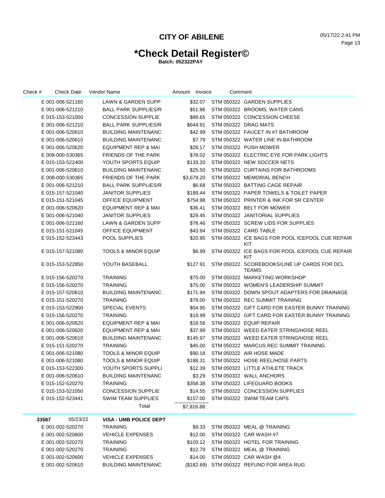# **\*Check Detail Register©**

| Check #<br>Check Date | Vendor Name                    | Amount Invoice | Comment |                                                             |
|-----------------------|--------------------------------|----------------|---------|-------------------------------------------------------------|
| E 001-006-521160      | LAWN & GARDEN SUPP             |                |         | \$32.07 STM 050322 GARDEN SUPPLIES                          |
| E 001-006-521210      | <b>BALL PARK SUPPLIES/R</b>    | \$51.96        |         | STM 050322 BROOMS, WATER CANS                               |
| E 015-153-521050      | <b>CONCESSION SUPPLIE</b>      | \$89.65        |         | STM 050322 CONCESSION CHEESE                                |
| E 001-006-521210      | <b>BALL PARK SUPPLIES/R</b>    | \$644.91       |         | STM 050322 DRAG MATS                                        |
| E 001-006-520610      | <b>BUILDING MAINTENANC</b>     | \$42.99        |         | STM 050322 FAUCET IN #7 BATHROOM                            |
| E 001-006-520610      | <b>BUILDING MAINTENANC</b>     | \$7.79         |         | STM 050322 WATER LINE IN BATHROOM                           |
| E 001-006-520620      | <b>EQUIPMENT REP &amp; MAI</b> | \$26.17        |         | STM 050322 PUSH MOWER                                       |
| E 008-000-530365      | FRIENDS OF THE PARK            | \$78.02        |         | STM 050322 ELECTRIC EYE FOR PARK LIGHTS                     |
| E 015-153-522400      | YOUTH SPORTS EQUIP             | \$133.20       |         | STM 050322 NEW SOCCER NETS                                  |
| E 001-006-520610      | <b>BUILDING MAINTENANC</b>     | \$25.50        |         | STM 050322 CURTAINS FOR BATHROOMS                           |
| E 008-000-530365      | FRIENDS OF THE PARK            | \$3,679.20     |         | STM 050322 MEMORIAL BENCH                                   |
| E 001-006-521210      | <b>BALL PARK SUPPLIES/R</b>    | \$6.68         |         | STM 050322 BATTING CAGE REPAIR                              |
| E 015-157-521040      | <b>JANITOR SUPPLIES</b>        | \$189.44       |         | STM 050322 PAPER TOWELS & TOILET PAPER                      |
| E 015-151-521045      | <b>OFFICE EQUIPMENT</b>        | \$754.98       |         | STM 050322 PRINTER & INK FOR SR CENTER                      |
| E 001-006-520620      | <b>EQUIPMENT REP &amp; MAI</b> | \$36.41        |         | STM 050322 BELT FOR MOWER                                   |
| E 001-006-521040      | <b>JANITOR SUPPLIES</b>        | \$29.45        |         | STM 050322 JANITORIAL SUPPLIES                              |
| E 001-006-521160      | <b>LAWN &amp; GARDEN SUPP</b>  | \$78.46        |         | STM 050322 SCREW LIDS FOR SUPPLIES                          |
| E 015-151-521045      | <b>OFFICE EQUIPMENT</b>        | \$43.94        |         | STM 050322 CARD TABLE                                       |
| E 015-152-523443      | <b>POOL SUPPLIES</b>           | \$20.95        |         | STM 050322 ICE BAGS FOR POOL ICEPOOL CUE REPAIR<br>KIT      |
| E 015-157-521080      | <b>TOOLS &amp; MINOR EQUIP</b> | \$6.99         |         | STM 050322 ICE BAGS FOR POOL ICEPOOL CUE REPAIR<br>KIT      |
| E 015-153-522850      | YOUTH BASEBALL                 | \$127.91       |         | STM 050322 SCOREBOOKS/LINE UP CARDS FOR DCL<br><b>TEAMS</b> |
| E 015-156-520270      | <b>TRAINING</b>                | \$75.00        |         | STM 050322 MARKETING WORKSHOP                               |
| E 015-156-520270      | <b>TRAINING</b>                | \$75.00        |         | STM 050322 WOMEN'S LEADERSHIP SUMMIT                        |
| E 015-157-520610      | <b>BUILDING MAINTENANC</b>     | \$171.94       |         | STM 050322 DOWN SPOUT ADAPTERS FOR DRAINAGE                 |
| E 015-151-520270      | <b>TRAINING</b>                | \$79.00        |         | STM 050322 REC SUMMIT TRAINING                              |
| E 015-153-522900      | <b>SPECIAL EVENTS</b>          | \$54.95        |         | STM 050322 GIFT CARD FOR EASTER BUNNY TRAINING              |
| E 015-156-520270      | <b>TRAINING</b>                | \$18.99        |         | STM 050322 GIFT CARD FOR EASTER BUNNY TRAINING              |
| E 001-006-520620      | <b>EQUIPMENT REP &amp; MAI</b> | \$18.56        |         | STM 050322 EQUIP REPAIR                                     |
| E 001-006-520620      | <b>EQUIPMENT REP &amp; MAI</b> | \$37.99        |         | STM 050322 WEED EATER STRING/HOSE REEL                      |
| E 001-006-520610      | <b>BUILDING MAINTENANC</b>     | \$145.97       |         | STM 050322 WEED EATER STRING/HOSE REEL                      |
| E 015-151-520270      | <b>TRAINING</b>                | \$45.00        |         | STM 050322 MARCUS REC SUMMIT TRAINING                       |
| E 001-006-521080      | <b>TOOLS &amp; MINOR EQUIP</b> | \$90.18        |         | STM 050322 AIR HOSE MADE                                    |
| E 001-006-521080      | <b>TOOLS &amp; MINOR EQUIP</b> | \$188.31       |         | STM 050322 HOSE REEL/HOSE PARTS                             |
| E 015-153-522300      | YOUTH SPORTS SUPPLI            | \$12.39        |         | STM 050322 LITTLE ATHLETE TRACK                             |
| E 001-006-520610      | <b>BUILDING MAINTENANC</b>     | \$3.29         |         | STM 050322 WALL ANCHORS                                     |
| E 015-152-520270      | TRAINING                       | \$358.38       |         | STM 050322 LIFEGUARD BOOKS                                  |
| E 015-153-521050      | <b>CONCESSION SUPPLIE</b>      | \$14.55        |         | STM 050322 CONCESSION SUPPLIES                              |
| E 015-152-523441      | SWIM TEAM SUPPLIES             | \$157.00       |         | STM 050322 SWIM TEAM CAPS                                   |
|                       | Total                          | \$7,816.88     |         |                                                             |
| 05/23/22<br>33587     | <b>VISA - UMB POLICE DEPT</b>  |                |         |                                                             |
| E 001-002-520270      | <b>TRAINING</b>                | \$9.33         |         | STM 050322 MEAL @ TRAINING                                  |
| E 001-002-520600      | <b>VEHICLE EXPENSES</b>        | \$12.00        |         | STM 050322 CAR WASH #7                                      |
| E 001-002-520270      | <b>TRAINING</b>                |                |         | \$103.12 STM 050322 HOTEL FOR TRAINING                      |
| E 001-002-520270      | <b>TRAINING</b>                | \$12.79        |         | STM 050322 MEAL @ TRAINING                                  |
| E 001-002-520600      | <b>VEHICLE EXPENSES</b>        | \$14.00        |         | STM 050322 CAR WASH @4                                      |
| E 001-002-520610      | <b>BUILDING MAINTENANC</b>     |                |         | (\$182.69) STM 050322 REFUND FOR AREA RUG                   |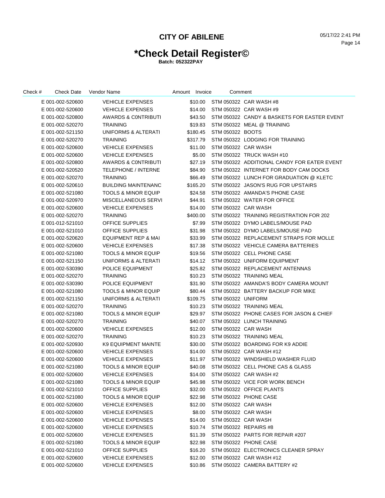# **\*Check Detail Register©**

| Check # | Check Date       | Vendor Name                    | Amount Invoice | Comment               |                                             |
|---------|------------------|--------------------------------|----------------|-----------------------|---------------------------------------------|
|         | E 001-002-520600 | <b>VEHICLE EXPENSES</b>        | \$10.00        |                       | STM 050322 CAR WASH #8                      |
|         | E 001-002-520600 | <b>VEHICLE EXPENSES</b>        | \$14.00        |                       | STM 050322 CAR WASH #9                      |
|         | E 001-002-520800 | <b>AWARDS &amp; CONTRIBUTI</b> | \$43.50        |                       | STM 050322 CANDY & BASKETS FOR EASTER EVENT |
|         | E 001-002-520270 | <b>TRAINING</b>                | \$19.83        |                       | STM 050322 MEAL @ TRAINING                  |
|         | E 001-002-521150 | UNIFORMS & ALTERATI            | \$180.45       | STM 050322 BOOTS      |                                             |
|         | E 001-002-520270 | <b>TRAINING</b>                | \$317.79       |                       | STM 050322 LODGING FOR TRAINING             |
|         | E 001-002-520600 | <b>VEHICLE EXPENSES</b>        | \$11.00        | STM 050322 CAR WASH   |                                             |
|         | E 001-002-520600 | <b>VEHICLE EXPENSES</b>        | \$5.00         |                       | STM 050322 TRUCK WASH #10                   |
|         | E 001-002-520800 | <b>AWARDS &amp; CONTRIBUTI</b> | \$27.19        |                       | STM 050322 ADDITIONAL CANDY FOR EATER EVENT |
|         | E 001-002-520520 | <b>TELEPHONE / INTERNE</b>     | \$84.90        |                       | STM 050322 INTERNET FOR BODY CAM DOCKS      |
|         | E 001-002-520270 | <b>TRAINING</b>                | \$66.49        |                       | STM 050322 LUNCH FOR GRADUATION @ KLETC     |
|         | E 001-002-520610 | <b>BUILDING MAINTENANC</b>     | \$165.20       |                       | STM 050322 JASON'S RUG FOR UPSTAIRS         |
|         | E 001-002-521080 | <b>TOOLS &amp; MINOR EQUIP</b> | \$24.58        |                       | STM 050322 AMANDA'S PHONE CASE              |
|         | E 001-002-520970 | MISCELLANEOUS SERVI            | \$44.91        |                       | STM 050322 WATER FOR OFFICE                 |
|         | E 001-002-520600 | <b>VEHICLE EXPENSES</b>        | \$14.00        | STM 050322 CAR WASH   |                                             |
|         | E 001-002-520270 | <b>TRAINING</b>                | \$400.00       |                       | STM 050322 TRAINING REGISTRATION FOR 202    |
|         | E 001-012-521010 | <b>OFFICE SUPPLIES</b>         | \$7.99         |                       | STM 050322 DYMO LABELS/MOUSE PAD            |
|         | E 001-002-521010 | <b>OFFICE SUPPLIES</b>         | \$31.98        |                       | STM 050322 DYMO LABELS/MOUSE PAD            |
|         | E 001-002-520620 | EQUIPMENT REP & MAI            | \$33.99        |                       | STM 050322 REPLACEMENT STRAPS FOR MOLLE     |
|         | E 001-002-520600 | <b>VEHICLE EXPENSES</b>        | \$17.38        |                       | STM 050322 VEHICLE CAMERA BATTERIES         |
|         | E 001-002-521080 | <b>TOOLS &amp; MINOR EQUIP</b> | \$19.56        |                       | STM 050322 CELL PHONE CASE                  |
|         | E 001-002-521150 | UNIFORMS & ALTERATI            | \$14.12        |                       | STM 050322 UNIFORM EQUIPMENT                |
|         | E 001-002-530390 | <b>POLICE EQUIPMENT</b>        | \$25.82        |                       | STM 050322 REPLACEMENT ANTENNAS             |
|         | E 001-002-520270 | <b>TRAINING</b>                | \$10.23        |                       | STM 050322 TRAINING MEAL                    |
|         | E 001-002-530390 | POLICE EQUIPMENT               | \$31.90        |                       | STM 050322 AMANDA'S BODY CAMERA MOUNT       |
|         | E 001-002-521080 | <b>TOOLS &amp; MINOR EQUIP</b> | \$80.44        |                       | STM 050322 BATTERY BACKUP FOR MIKE          |
|         | E 001-002-521150 | UNIFORMS & ALTERATI            | \$109.75       | STM 050322 UNIFORM    |                                             |
|         | E 001-002-520270 | <b>TRAINING</b>                | \$10.23        |                       | STM 050322 TRAINING MEAL                    |
|         | E 001-002-521080 | <b>TOOLS &amp; MINOR EQUIP</b> | \$29.97        |                       | STM 050322 PHONE CASES FOR JASON & CHIEF    |
|         | E 001-002-520270 | <b>TRAINING</b>                | \$40.07        |                       | STM 050322 LUNCH TRAINING                   |
|         | E 001-002-520600 | <b>VEHICLE EXPENSES</b>        | \$12.00        | STM 050322 CAR WASH   |                                             |
|         | E 001-002-520270 | <b>TRAINING</b>                | \$10.23        |                       | STM 050322 TRAINING MEAL                    |
|         | E 001-002-520930 | <b>K9 EQUIPMENT MAINTE</b>     | \$30.00        |                       | STM 050322 BOARDING FOR K9 ADDIE            |
|         | E 001-002-520600 | <b>VEHICLE EXPENSES</b>        | \$14.00        |                       | STM 050322 CAR WASH #12                     |
|         | E 001-002-520600 | <b>VEHICLE EXPENSES</b>        | \$11.97        |                       | STM 050322 WINDSHIELD WASHER FLUID          |
|         | E 001-002-521080 | <b>TOOLS &amp; MINOR EQUIP</b> | \$40.08        |                       | STM 050322 CELL PHONE CAS & GLASS           |
|         | E 001-002-520600 | <b>VEHICLE EXPENSES</b>        | \$14.00        |                       | STM 050322 CAR WASH #2                      |
|         | E 001-002-521080 | <b>TOOLS &amp; MINOR EQUIP</b> | \$45.98        |                       | STM 050322 VICE FOR WORK BENCH              |
|         | E 001-002-521010 | <b>OFFICE SUPPLIES</b>         | \$32.00        |                       | STM 050322 OFFICE PLANTS                    |
|         | E 001-002-521080 | <b>TOOLS &amp; MINOR EQUIP</b> | \$22.98        |                       | STM 050322 PHONE CASE                       |
|         | E 001-002-520600 | <b>VEHICLE EXPENSES</b>        | \$12.00        | STM 050322 CAR WASH   |                                             |
|         | E 001-002-520600 | <b>VEHICLE EXPENSES</b>        | \$8.00         | STM 050322 CAR WASH   |                                             |
|         | E 001-002-520600 | <b>VEHICLE EXPENSES</b>        | \$14.00        | STM 050322 CAR WASH   |                                             |
|         | E 001-002-520600 | <b>VEHICLE EXPENSES</b>        | \$10.74        | STM 050322 REPAIRS #8 |                                             |
|         | E 001-002-520600 | <b>VEHICLE EXPENSES</b>        | \$11.39        |                       | STM 050322 PARTS FOR REPAIR #207            |
|         | E 001-002-521080 | <b>TOOLS &amp; MINOR EQUIP</b> | \$22.98        |                       | STM 050322 PHONE CASE                       |
|         | E 001-002-521010 | OFFICE SUPPLIES                | \$16.20        |                       | STM 050322 ELECTRONICS CLEANER SPRAY        |
|         | E 001-002-520600 | <b>VEHICLE EXPENSES</b>        | \$12.00        |                       | STM 050322 CAR WASH #12                     |
|         | E 001-002-520600 | <b>VEHICLE EXPENSES</b>        |                |                       | \$10.86 STM 050322 CAMERA BATTERY #2        |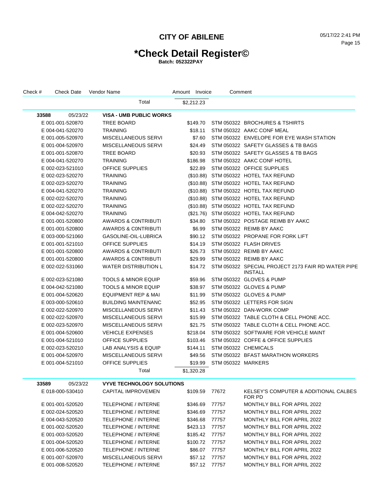# **\*Check Detail Register©**

| Check # | Check Date       | Vendor Name                      | Amount Invoice | Comment            |                                                               |
|---------|------------------|----------------------------------|----------------|--------------------|---------------------------------------------------------------|
|         |                  | Total                            | \$2,212.23     |                    |                                                               |
| 33588   | 05/23/22         | <b>VISA - UMB PUBLIC WORKS</b>   |                |                    |                                                               |
|         | E 001-001-520870 | <b>TREE BOARD</b>                | \$149.70       |                    | STM 050322 BROCHURES & TSHIRTS                                |
|         | E 004-041-520270 | <b>TRAINING</b>                  | \$18.11        |                    | STM 050322 AAKC CONF MEAL                                     |
|         | E 001-005-520970 | MISCELLANEOUS SERVI              | \$7.60         |                    | STM 050322 ENVELOPE FOR EYE WASH STATION                      |
|         | E 001-004-520970 | MISCELLANEOUS SERVI              | \$24.49        |                    | STM 050322 SAFETY GLASSES & TB BAGS                           |
|         | E 001-001-520870 | <b>TREE BOARD</b>                | \$20.93        |                    | STM 050322 SAFETY GLASSES & TB BAGS                           |
|         | E 004-041-520270 | <b>TRAINING</b>                  | \$186.98       |                    | STM 050322 AAKC CONF HOTEL                                    |
|         | E 002-023-521010 | <b>OFFICE SUPPLIES</b>           | \$22.89        |                    | STM 050322 OFFICE SUPPLIES                                    |
|         | E 002-023-520270 | <b>TRAINING</b>                  |                |                    | (\$10.88) STM 050322 HOTEL TAX REFUND                         |
|         | E 002-023-520270 | <b>TRAINING</b>                  |                |                    | (\$10.88) STM 050322 HOTEL TAX REFUND                         |
|         | E 004-041-520270 | <b>TRAINING</b>                  |                |                    | (\$10.88) STM 050322 HOTEL TAX REFUND                         |
|         | E 002-022-520270 | <b>TRAINING</b>                  |                |                    | (\$10.88) STM 050322 HOTEL TAX REFUND                         |
|         | E 002-022-520270 | <b>TRAINING</b>                  |                |                    | (\$10.88) STM 050322 HOTEL TAX REFUND                         |
|         | E 004-042-520270 | <b>TRAINING</b>                  |                |                    | (\$21.76) STM 050322 HOTEL TAX REFUND                         |
|         | E 001-001-520800 | AWARDS & CONTRIBUTI              | \$34.80        |                    | STM 050322 POSTAGE REIMB BY AAKC                              |
|         | E 001-001-520800 | AWARDS & CONTRIBUTI              | \$6.99         |                    | STM 050322 REIMB BY AAKC                                      |
|         | E 003-000-521060 | GASOLINE-OIL-LUBRICA             | \$90.12        |                    | STM 050322 PROPANE FOR FORK LIFT                              |
|         | E 001-001-521010 | <b>OFFICE SUPPLIES</b>           | \$14.19        |                    | STM 050322 FLASH DRIVES                                       |
|         | E 001-001-520800 | <b>AWARDS &amp; CONTRIBUTI</b>   | \$26.73        |                    | STM 050322 REIMB BY AAKC                                      |
|         | E 001-001-520800 | <b>AWARDS &amp; CONTRIBUTI</b>   | \$29.99        |                    | STM 050322 REIMB BY AAKC                                      |
|         | E 002-022-531060 | <b>WATER DISTRIBUTION L</b>      | \$14.72        |                    | STM 050322 SPECIAL PROJECT 2173 FAIR RD WATER PIPE<br>INSTALL |
|         | E 002-023-521080 | <b>TOOLS &amp; MINOR EQUIP</b>   | \$59.96        |                    | STM 050322 GLOVES & PUMP                                      |
|         | E 004-042-521080 | <b>TOOLS &amp; MINOR EQUIP</b>   | \$38.97        |                    | STM 050322 GLOVES & PUMP                                      |
|         | E 001-004-520620 | EQUIPMENT REP & MAI              | \$11.99        |                    | STM 050322 GLOVES & PUMP                                      |
|         | E 003-000-520610 | <b>BUILDING MAINTENANC</b>       | \$52.95        |                    | STM 050322 LETTERS FOR SIGN                                   |
|         | E 002-022-520970 | MISCELLANEOUS SERVI              | \$11.43        |                    | STM 050322 DAN-WORK COMP                                      |
|         | E 002-022-520970 | MISCELLANEOUS SERVI              | \$15.99        |                    | STM 050322 TABLE CLOTH & CELL PHONE ACC.                      |
|         | E 002-023-520970 | MISCELLANEOUS SERVI              | \$21.75        |                    | STM 050322 TABLE CLOTH & CELL PHONE ACC.                      |
|         | E 001-004-520600 | <b>VEHICLE EXPENSES</b>          | \$218.04       |                    | STM 050322 SOFTWARE FOR VEHICLE MAINT                         |
|         | E 001-004-521010 | <b>OFFICE SUPPLIES</b>           | \$103.46       |                    | STM 050322 COFFE & OFFICE SUPPLIES                            |
|         | E 002-023-520210 | LAB ANALYSIS & EQUIP             | \$144.11       |                    | STM 050322 CHEMICALS                                          |
|         | E 001-004-520970 | MISCELLANEOUS SERVI              | \$49.56        |                    | STM 050322 BFAST MARATHON WORKERS                             |
|         | E 001-004-521010 | <b>OFFICE SUPPLIES</b>           | \$19.99        | STM 050322 MARKERS |                                                               |
|         |                  | Total                            | \$1,320.28     |                    |                                                               |
| 33589   | 05/23/22         | <b>VYVE TECHNOLOGY SOLUTIONS</b> |                |                    |                                                               |
|         | E 018-000-530410 | <b>CAPITAL IMPROVEMEN</b>        | \$109.59       | 77672              | KELSEY'S COMPUTER & ADDITIONAL CALBES<br>FOR PD               |
|         | E 001-001-520520 | <b>TELEPHONE / INTERNE</b>       | \$346.69       | 77757              | MONTHLY BILL FOR APRIL 2022                                   |
|         | E 002-024-520520 | <b>TELEPHONE / INTERNE</b>       | \$346.69       | 77757              | <b>MONTHLY BILL FOR APRIL 2022</b>                            |
|         | E 004-043-520520 | <b>TELEPHONE / INTERNE</b>       | \$346.68       | 77757              | <b>MONTHLY BILL FOR APRIL 2022</b>                            |
|         | E 001-002-520520 | TELEPHONE / INTERNE              | \$423.13       | 77757              | <b>MONTHLY BILL FOR APRIL 2022</b>                            |
|         | E 001-003-520520 | <b>TELEPHONE / INTERNE</b>       | \$185.42       | 77757              | <b>MONTHLY BILL FOR APRIL 2022</b>                            |
|         | E 001-004-520520 | <b>TELEPHONE / INTERNE</b>       | \$100.72       | 77757              | MONTHLY BILL FOR APRIL 2022                                   |
|         | E 001-006-520520 | <b>TELEPHONE / INTERNE</b>       | \$86.07        | 77757              | MONTHLY BILL FOR APRIL 2022                                   |
|         | E 001-007-520970 | MISCELLANEOUS SERVI              | \$57.12        | 77757              | MONTHLY BILL FOR APRIL 2022                                   |
|         | E 001-008-520520 | TELEPHONE / INTERNE              | \$57.12 77757  |                    | MONTHLY BILL FOR APRIL 2022                                   |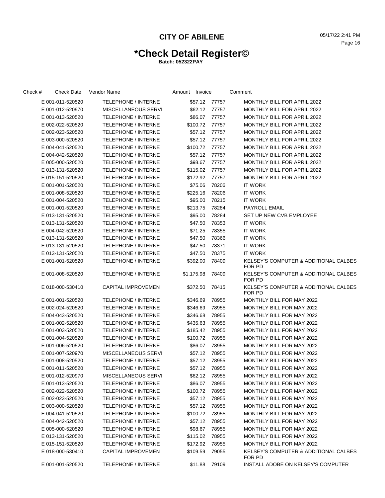# **\*Check Detail Register©**

| Check # | <b>Check Date</b> | Vendor Name                | Amount Invoice |               | Comment                                                    |
|---------|-------------------|----------------------------|----------------|---------------|------------------------------------------------------------|
|         | E 001-011-520520  | TELEPHONE / INTERNE        | \$57.12        | 77757         | MONTHLY BILL FOR APRIL 2022                                |
|         | E 001-012-520970  | MISCELLANEOUS SERVI        | \$62.12        | 77757         | MONTHLY BILL FOR APRIL 2022                                |
|         | E 001-013-520520  | <b>TELEPHONE / INTERNE</b> | \$86.07        | 77757         | MONTHLY BILL FOR APRIL 2022                                |
|         | E 002-022-520520  | <b>TELEPHONE / INTERNE</b> | \$100.72       | 77757         | MONTHLY BILL FOR APRIL 2022                                |
|         | E 002-023-520520  | <b>TELEPHONE / INTERNE</b> | \$57.12        | 77757         | MONTHLY BILL FOR APRIL 2022                                |
|         | E 003-000-520520  | <b>TELEPHONE / INTERNE</b> | \$57.12        | 77757         | MONTHLY BILL FOR APRIL 2022                                |
|         | E 004-041-520520  | <b>TELEPHONE / INTERNE</b> | \$100.72       | 77757         | MONTHLY BILL FOR APRIL 2022                                |
|         | E 004-042-520520  | <b>TELEPHONE / INTERNE</b> | \$57.12        | 77757         | MONTHLY BILL FOR APRIL 2022                                |
|         | E 005-000-520520  | <b>TELEPHONE / INTERNE</b> | \$98.67        | 77757         | MONTHLY BILL FOR APRIL 2022                                |
|         | E 013-131-520520  | <b>TELEPHONE / INTERNE</b> | \$115.02       | 77757         | MONTHLY BILL FOR APRIL 2022                                |
|         | E 015-151-520520  | <b>TELEPHONE / INTERNE</b> | \$172.92       | 77757         | MONTHLY BILL FOR APRIL 2022                                |
|         | E 001-001-520520  | TELEPHONE / INTERNE        | \$75.06        | 78206         | <b>IT WORK</b>                                             |
|         | E 001-008-520520  | <b>TELEPHONE / INTERNE</b> | \$225.16       | 78206         | <b>IT WORK</b>                                             |
|         | E 001-004-520520  | <b>TELEPHONE / INTERNE</b> | \$95.00        | 78215         | <b>IT WORK</b>                                             |
|         | E 001-001-520520  | <b>TELEPHONE / INTERNE</b> | \$213.75       | 78284         | <b>PAYROLL EMAIL</b>                                       |
|         | E 013-131-520520  | <b>TELEPHONE / INTERNE</b> | \$95.00        | 78284         | SET UP NEW CVB EMPLOYEE                                    |
|         | E 013-131-520520  | <b>TELEPHONE / INTERNE</b> | \$47.50        | 78353         | IT WORK                                                    |
|         | E 004-042-520520  | <b>TELEPHONE / INTERNE</b> | \$71.25        | 78355         | <b>IT WORK</b>                                             |
|         | E 013-131-520520  | <b>TELEPHONE / INTERNE</b> | \$47.50        | 78366         | IT WORK                                                    |
|         | E 013-131-520520  | TELEPHONE / INTERNE        | \$47.50        | 78371         | <b>IT WORK</b>                                             |
|         | E 013-131-520520  | <b>TELEPHONE / INTERNE</b> | \$47.50        | 78375         | <b>IT WORK</b>                                             |
|         | E 001-001-520520  | <b>TELEPHONE / INTERNE</b> | \$392.00       | 78409         | <b>KELSEY'S COMPUTER &amp; ADDITIONAL CALBES</b><br>FOR PD |
|         | E 001-008-520520  | <b>TELEPHONE / INTERNE</b> | \$1,175.98     | 78409         | KELSEY'S COMPUTER & ADDITIONAL CALBES<br>FOR PD            |
|         | E 018-000-530410  | <b>CAPITAL IMPROVEMEN</b>  | \$372.50       | 78415         | <b>KELSEY'S COMPUTER &amp; ADDITIONAL CALBES</b><br>FOR PD |
|         | E 001-001-520520  | <b>TELEPHONE / INTERNE</b> | \$346.69       | 78955         | MONTHLY BILL FOR MAY 2022                                  |
|         | E 002-024-520520  | <b>TELEPHONE / INTERNE</b> | \$346.69       | 78955         | MONTHLY BILL FOR MAY 2022                                  |
|         | E 004-043-520520  | TELEPHONE / INTERNE        | \$346.68       | 78955         | MONTHLY BILL FOR MAY 2022                                  |
|         | E 001-002-520520  | <b>TELEPHONE / INTERNE</b> | \$435.63       | 78955         | MONTHLY BILL FOR MAY 2022                                  |
|         | E 001-003-520520  | TELEPHONE / INTERNE        | \$185.42       | 78955         | MONTHLY BILL FOR MAY 2022                                  |
|         | E 001-004-520520  | TELEPHONE / INTERNE        | \$100.72       | 78955         | MONTHLY BILL FOR MAY 2022                                  |
|         | E 001-006-520520  | <b>TELEPHONE / INTERNE</b> | \$86.07        | 78955         | MONTHLY BILL FOR MAY 2022                                  |
|         | E 001-007-520970  | MISCELLANEOUS SERVI        | \$57.12        | 78955         | MONTHLY BILL FOR MAY 2022                                  |
|         | E 001-008-520520  | <b>TELEPHONE / INTERNE</b> | \$57.12        | 78955         | MONTHLY BILL FOR MAY 2022                                  |
|         | E 001-011-520520  | <b>TELEPHONE / INTERNE</b> | \$57.12        | 78955         | MONTHLY BILL FOR MAY 2022                                  |
|         | E 001-012-520970  | MISCELLANEOUS SERVI        |                | \$62.12 78955 | MONTHLY BILL FOR MAY 2022                                  |
|         | E 001-013-520520  | TELEPHONE / INTERNE        | \$86.07        | 78955         | MONTHLY BILL FOR MAY 2022                                  |
|         | E 002-022-520520  | TELEPHONE / INTERNE        | \$100.72       | 78955         | MONTHLY BILL FOR MAY 2022                                  |
|         | E 002-023-520520  | <b>TELEPHONE / INTERNE</b> | \$57.12        | 78955         | MONTHLY BILL FOR MAY 2022                                  |
|         | E 003-000-520520  | <b>TELEPHONE / INTERNE</b> | \$57.12        | 78955         | MONTHLY BILL FOR MAY 2022                                  |
|         | E 004-041-520520  | <b>TELEPHONE / INTERNE</b> | \$100.72       | 78955         | MONTHLY BILL FOR MAY 2022                                  |
|         | E 004-042-520520  | <b>TELEPHONE / INTERNE</b> | \$57.12        | 78955         | MONTHLY BILL FOR MAY 2022                                  |
|         | E 005-000-520520  | <b>TELEPHONE / INTERNE</b> | \$98.67        | 78955         | MONTHLY BILL FOR MAY 2022                                  |
|         | E 013-131-520520  | <b>TELEPHONE / INTERNE</b> | \$115.02       | 78955         | MONTHLY BILL FOR MAY 2022                                  |
|         | E 015-151-520520  | <b>TELEPHONE / INTERNE</b> | \$172.92       | 78955         | MONTHLY BILL FOR MAY 2022                                  |
|         | E 018-000-530410  | <b>CAPITAL IMPROVEMEN</b>  | \$109.59       | 79055         | <b>KELSEY'S COMPUTER &amp; ADDITIONAL CALBES</b><br>FOR PD |
|         | E 001-001-520520  | TELEPHONE / INTERNE        | \$11.88        | 79109         | INSTALL ADOBE ON KELSEY'S COMPUTER                         |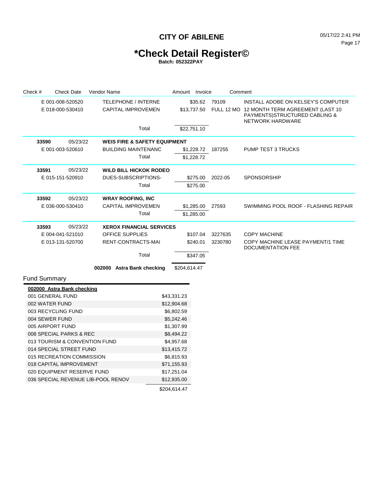## **\*Check Detail Register©**

| Check #             | <b>Check Date</b>                  | Vendor Name |                                         | Amount Invoice |             | Comment |                                                                                                          |  |  |  |
|---------------------|------------------------------------|-------------|-----------------------------------------|----------------|-------------|---------|----------------------------------------------------------------------------------------------------------|--|--|--|
|                     | E 001-008-520520                   |             | <b>TELEPHONE / INTERNE</b>              |                | \$35.62     | 79109   | INSTALL ADOBE ON KELSEY'S COMPUTER                                                                       |  |  |  |
|                     | E 018-000-530410                   |             | <b>CAPITAL IMPROVEMEN</b>               |                | \$13,737.50 |         | FULL 12 MO 12 MONTH TERM AGREEMENT (LAST 10<br>PAYMENTS) STRUCTURED CABLING &<br><b>NETWORK HARDWARE</b> |  |  |  |
|                     |                                    |             | Total                                   |                | \$22,751.10 |         |                                                                                                          |  |  |  |
| 33590               | 05/23/22                           |             | <b>WEIS FIRE &amp; SAFETY EQUIPMENT</b> |                |             |         |                                                                                                          |  |  |  |
|                     | E 001-003-520610                   |             | <b>BUILDING MAINTENANC</b>              |                | \$1,228.72  | 187255  | <b>PUMP TEST 3 TRUCKS</b>                                                                                |  |  |  |
|                     |                                    |             | Total                                   |                | \$1,228.72  |         |                                                                                                          |  |  |  |
| 33591               | 05/23/22                           |             | <b>WILD BILL HICKOK RODEO</b>           |                |             |         |                                                                                                          |  |  |  |
|                     | E 015-151-520910                   |             | DUES-SUBSCRIPTIONS-                     |                | \$275.00    | 2022-05 | <b>SPONSORSHIP</b>                                                                                       |  |  |  |
|                     |                                    |             | Total                                   |                | \$275.00    |         |                                                                                                          |  |  |  |
| 33592               | 05/23/22                           |             | <b>WRAY ROOFING, INC</b>                |                |             |         |                                                                                                          |  |  |  |
|                     | E 036-000-530410                   |             | <b>CAPITAL IMPROVEMEN</b>               |                | \$1,285.00  | 27593   | SWIMMING POOL ROOF - FLASHING REPAIR                                                                     |  |  |  |
|                     |                                    |             | Total                                   |                | \$1,285.00  |         |                                                                                                          |  |  |  |
| 33593               | 05/23/22                           |             | <b>XEROX FINANCIAL SERVICES</b>         |                |             |         |                                                                                                          |  |  |  |
|                     | E 004-041-521010                   |             | <b>OFFICE SUPPLIES</b>                  |                | \$107.04    | 3227635 | <b>COPY MACHINE</b>                                                                                      |  |  |  |
|                     | E 013-131-520700                   |             | RENT-CONTRACTS-MAI                      |                | \$240.01    | 3230780 | COPY MACHINE LEASE PAYMENT/1 TIME<br><b>DOCUMENTATION FEE</b>                                            |  |  |  |
|                     |                                    |             | Total                                   |                | \$347.05    |         |                                                                                                          |  |  |  |
|                     |                                    |             | 002000 Astra Bank checking              | \$204,614.47   |             |         |                                                                                                          |  |  |  |
| <b>Fund Summary</b> |                                    |             |                                         |                |             |         |                                                                                                          |  |  |  |
|                     | 002000 Astra Bank checking         |             |                                         |                |             |         |                                                                                                          |  |  |  |
|                     | 001 GENERAL FUND                   |             |                                         | \$43,331.23    |             |         |                                                                                                          |  |  |  |
|                     | 002 WATER FUND                     |             |                                         | \$12,904.68    |             |         |                                                                                                          |  |  |  |
|                     | 003 RECYCLING FUND                 |             |                                         | \$6,802.59     |             |         |                                                                                                          |  |  |  |
|                     | 004 SEWER FUND                     |             |                                         | \$5,242.46     |             |         |                                                                                                          |  |  |  |
|                     | 005 AIRPORT FUND                   |             |                                         | \$1,307.99     |             |         |                                                                                                          |  |  |  |
|                     | 008 SPECIAL PARKS & REC            |             |                                         | \$8,494.22     |             |         |                                                                                                          |  |  |  |
|                     | 013 TOURISM & CONVENTION FUND      |             |                                         | \$4,957.68     |             |         |                                                                                                          |  |  |  |
|                     | 014 SPECIAL STREET FUND            |             |                                         | \$13,415.72    |             |         |                                                                                                          |  |  |  |
|                     | 015 RECREATION COMMISSION          |             |                                         | \$6,815.93     |             |         |                                                                                                          |  |  |  |
|                     | 018 CAPITAL IMPROVEMENT            |             |                                         | \$71,155.93    |             |         |                                                                                                          |  |  |  |
|                     | 020 EQUIPMENT RESERVE FUND         |             |                                         | \$17,251.04    |             |         |                                                                                                          |  |  |  |
|                     | 036 SPECIAL REVENUE LIB-POOL RENOV |             |                                         | \$12,935.00    |             |         |                                                                                                          |  |  |  |
|                     |                                    |             |                                         | \$204,614.47   |             |         |                                                                                                          |  |  |  |